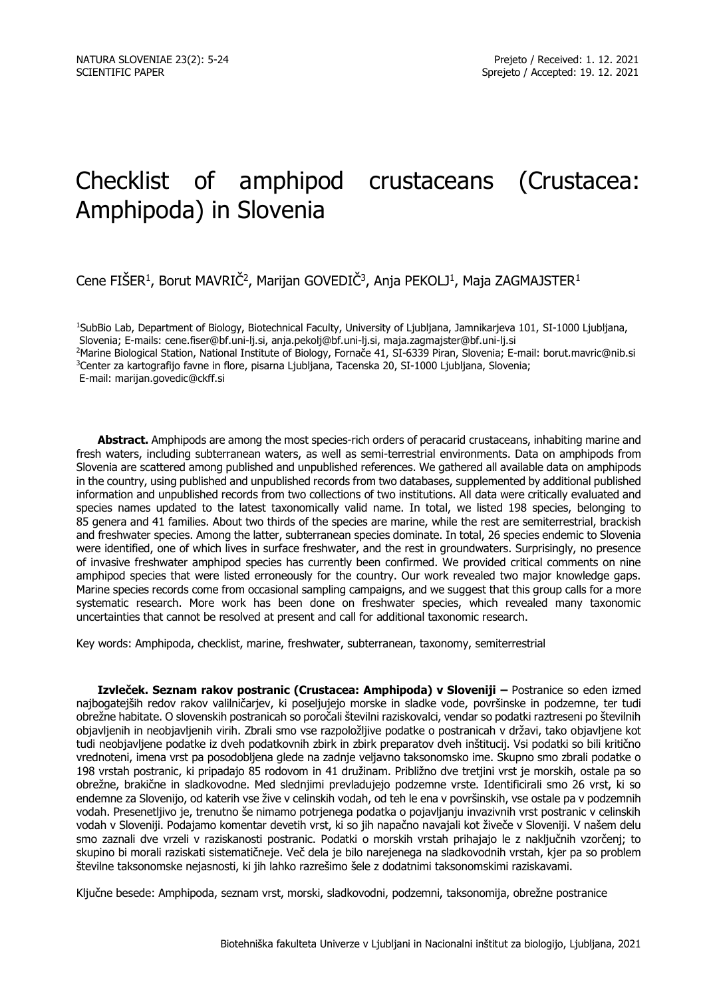# Checklist of amphipod crustaceans (Crustacea: Amphipoda) in Slovenia

Cene FISER<sup>1</sup>, Borut MAVRIC<sup>2</sup>, Marijan GOVEDIC<sup>3</sup>, Anja PEKOLJ<sup>1</sup>, Maja ZAGMAJSTER<sup>1</sup>

<sup>1</sup>SubBio Lab, Department of Biology, Biotechnical Faculty, University of Ljubljana, Jamnikarjeva 101, SI-1000 Ljubljana, Slovenia; E-mails: cene.fiser@bf.uni-lj.si, anja.pekolj@bf.uni-lj.si, maja.zagmajster@bf.uni-lj.si <sup>2</sup>Marine Biological Station, National Institute of Biology, Fornače 41, SI-6339 Piran, Slovenia; E-mail: borut.mavric@nib.si <sup>3</sup>Center za kartografijo favne in flore, pisarna Ljubljana, Tacenska 20, SI-1000 Ljubljana, Slovenia; E-mail: marijan.govedic@ckff.si

**Abstract.** Amphipods are among the most species-rich orders of peracarid crustaceans, inhabiting marine and fresh waters, including subterranean waters, as well as semi-terrestrial environments. Data on amphipods from Slovenia are scattered among published and unpublished references. We gathered all available data on amphipods in the country, using published and unpublished records from two databases, supplemented by additional published information and unpublished records from two collections of two institutions. All data were critically evaluated and species names updated to the latest taxonomically valid name. In total, we listed 198 species, belonging to 85 genera and 41 families. About two thirds of the species are marine, while the rest are semiterrestrial, brackish and freshwater species. Among the latter, subterranean species dominate. In total, 26 species endemic to Slovenia were identified, one of which lives in surface freshwater, and the rest in groundwaters. Surprisingly, no presence of invasive freshwater amphipod species has currently been confirmed. We provided critical comments on nine amphipod species that were listed erroneously for the country. Our work revealed two major knowledge gaps. Marine species records come from occasional sampling campaigns, and we suggest that this group calls for a more systematic research. More work has been done on freshwater species, which revealed many taxonomic uncertainties that cannot be resolved at present and call for additional taxonomic research.

Key words: Amphipoda, checklist, marine, freshwater, subterranean, taxonomy, semiterrestrial

**Izvleček. Seznam rakov postranic (Crustacea: Amphipoda) v Sloveniji –** Postranice so eden izmed najbogatejših redov rakov valilničarjev, ki poseljujejo morske in sladke vode, površinske in podzemne, ter tudi obrežne habitate. O slovenskih postranicah so poročali številni raziskovalci, vendar so podatki raztreseni po številnih objavljenih in neobjavljenih virih. Zbrali smo vse razpoložljive podatke o postranicah v državi, tako objavljene kot tudi neobjavljene podatke iz dveh podatkovnih zbirk in zbirk preparatov dveh inštitucij. Vsi podatki so bili kritično vrednoteni, imena vrst pa posodobljena glede na zadnje veljavno taksonomsko ime. Skupno smo zbrali podatke o 198 vrstah postranic, ki pripadajo 85 rodovom in 41 družinam. Približno dve tretjini vrst je morskih, ostale pa so obrežne, brakične in sladkovodne. Med slednjimi prevladujejo podzemne vrste. Identificirali smo 26 vrst, ki so endemne za Slovenijo, od katerih vse žive v celinskih vodah, od teh le ena v površinskih, vse ostale pa v podzemnih vodah. Presenetljivo je, trenutno še nimamo potrjenega podatka o pojavljanju invazivnih vrst postranic v celinskih vodah v Sloveniji. Podajamo komentar devetih vrst, ki so jih napačno navajali kot živeče v Sloveniji. V našem delu smo zaznali dve vrzeli v raziskanosti postranic. Podatki o morskih vrstah prihajajo le z naključnih vzorčenj; to skupino bi morali raziskati sistematičneje. Več dela je bilo narejenega na sladkovodnih vrstah, kjer pa so problem številne taksonomske nejasnosti, ki jih lahko razrešimo šele z dodatnimi taksonomskimi raziskavami.

Ključne besede: Amphipoda, seznam vrst, morski, sladkovodni, podzemni, taksonomija, obrežne postranice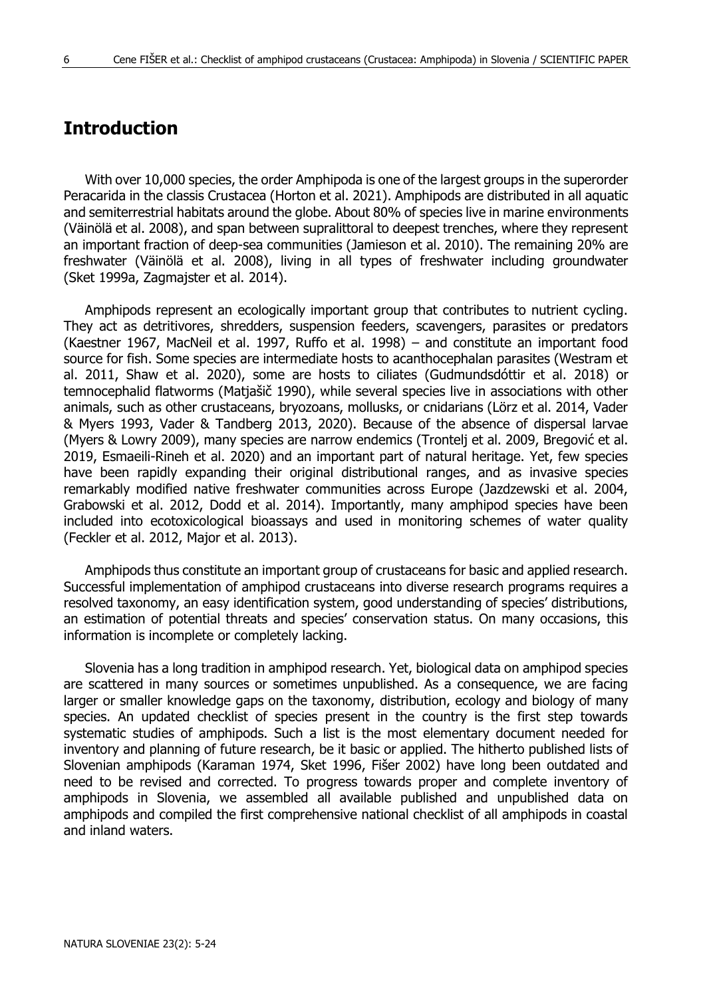## **Introduction**

With over 10,000 species, the order Amphipoda is one of the largest groups in the superorder Peracarida in the classis Crustacea (Horton et al. 2021). Amphipods are distributed in all aquatic and semiterrestrial habitats around the globe. About 80% of species live in marine environments (Väinölä et al. 2008), and span between supralittoral to deepest trenches, where they represent an important fraction of deep-sea communities (Jamieson et al. 2010). The remaining 20% are freshwater (Väinölä et al. 2008), living in all types of freshwater including groundwater (Sket 1999a, Zagmajster et al. 2014).

Amphipods represent an ecologically important group that contributes to nutrient cycling. They act as detritivores, shredders, suspension feeders, scavengers, parasites or predators (Kaestner 1967, MacNeil et al. 1997, Ruffo et al. 1998) – and constitute an important food source for fish. Some species are intermediate hosts to acanthocephalan parasites (Westram et al. 2011, Shaw et al. 2020), some are hosts to ciliates (Gudmundsdóttir et al. 2018) or temnocephalid flatworms (Matjašič 1990), while several species live in associations with other animals, such as other crustaceans, bryozoans, mollusks, or cnidarians (Lörz et al. 2014, Vader & Myers 1993, Vader & Tandberg 2013, 2020). Because of the absence of dispersal larvae (Myers & Lowry 2009), many species are narrow endemics (Trontelj et al. 2009, Bregović et al. 2019, Esmaeili-Rineh et al. 2020) and an important part of natural heritage. Yet, few species have been rapidly expanding their original distributional ranges, and as invasive species remarkably modified native freshwater communities across Europe (Jazdzewski et al. 2004, Grabowski et al. 2012, Dodd et al. 2014). Importantly, many amphipod species have been included into ecotoxicological bioassays and used in monitoring schemes of water quality (Feckler et al. 2012, Major et al. 2013).

Amphipods thus constitute an important group of crustaceans for basic and applied research. Successful implementation of amphipod crustaceans into diverse research programs requires a resolved taxonomy, an easy identification system, good understanding of species' distributions, an estimation of potential threats and species' conservation status. On many occasions, this information is incomplete or completely lacking.

Slovenia has a long tradition in amphipod research. Yet, biological data on amphipod species are scattered in many sources or sometimes unpublished. As a consequence, we are facing larger or smaller knowledge gaps on the taxonomy, distribution, ecology and biology of many species. An updated checklist of species present in the country is the first step towards systematic studies of amphipods. Such a list is the most elementary document needed for inventory and planning of future research, be it basic or applied. The hitherto published lists of Slovenian amphipods (Karaman 1974, Sket 1996, Fišer 2002) have long been outdated and need to be revised and corrected. To progress towards proper and complete inventory of amphipods in Slovenia, we assembled all available published and unpublished data on amphipods and compiled the first comprehensive national checklist of all amphipods in coastal and inland waters.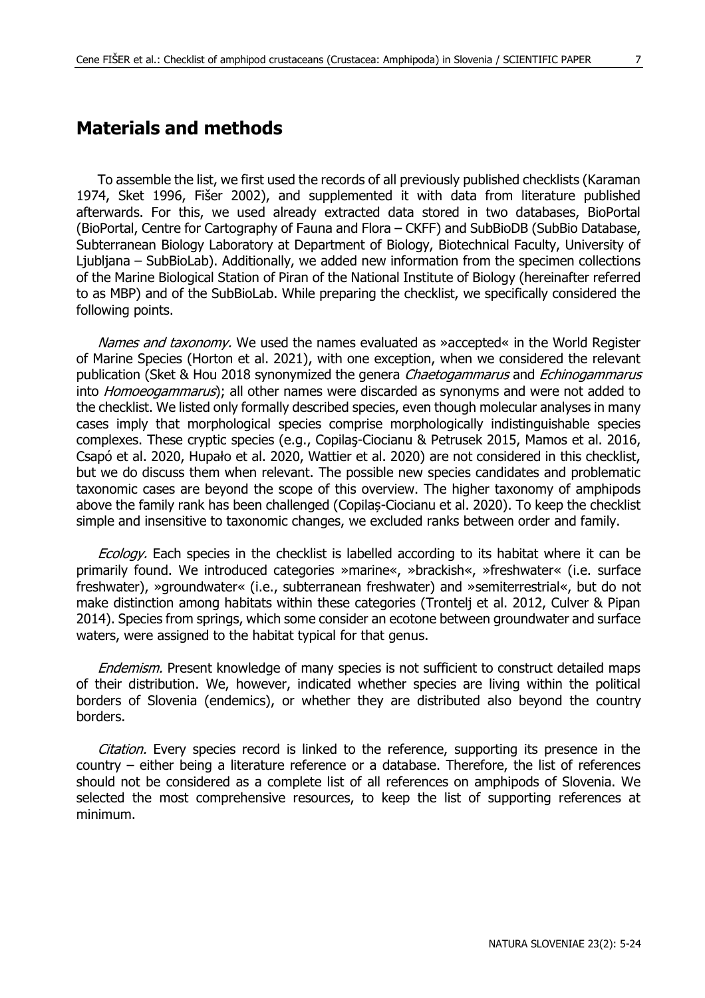## **Materials and methods**

To assemble the list, we first used the records of all previously published checklists (Karaman 1974, Sket 1996, Fišer 2002), and supplemented it with data from literature published afterwards. For this, we used already extracted data stored in two databases, BioPortal (BioPortal, Centre for Cartography of Fauna and Flora – CKFF) and SubBioDB (SubBio Database, Subterranean Biology Laboratory at Department of Biology, Biotechnical Faculty, University of Ljubljana – SubBioLab). Additionally, we added new information from the specimen collections of the Marine Biological Station of Piran of the National Institute of Biology (hereinafter referred to as MBP) and of the SubBioLab. While preparing the checklist, we specifically considered the following points.

Names and taxonomy. We used the names evaluated as »accepted« in the World Register of Marine Species (Horton et al. 2021), with one exception, when we considered the relevant publication (Sket & Hou 2018 synonymized the genera Chaetogammarus and Echinogammarus into Homoeogammarus); all other names were discarded as synonyms and were not added to the checklist. We listed only formally described species, even though molecular analyses in many cases imply that morphological species comprise morphologically indistinguishable species complexes. These cryptic species (e.g., Copilaş-Ciocianu & Petrusek 2015, Mamos et al. 2016, Csapó et al. 2020, Hupało et al. 2020, Wattier et al. 2020) are not considered in this checklist, but we do discuss them when relevant. The possible new species candidates and problematic taxonomic cases are beyond the scope of this overview. The higher taxonomy of amphipods above the family rank has been challenged (Copilaș-Ciocianu et al. 2020). To keep the checklist simple and insensitive to taxonomic changes, we excluded ranks between order and family.

Ecology. Each species in the checklist is labelled according to its habitat where it can be primarily found. We introduced categories »marine«, »brackish«, »freshwater« (i.e. surface freshwater), »groundwater« (i.e., subterranean freshwater) and »semiterrestrial«, but do not make distinction among habitats within these categories (Trontelj et al. 2012, Culver & Pipan 2014). Species from springs, which some consider an ecotone between groundwater and surface waters, were assigned to the habitat typical for that genus.

Endemism. Present knowledge of many species is not sufficient to construct detailed maps of their distribution. We, however, indicated whether species are living within the political borders of Slovenia (endemics), or whether they are distributed also beyond the country borders.

Citation. Every species record is linked to the reference, supporting its presence in the country – either being a literature reference or a database. Therefore, the list of references should not be considered as a complete list of all references on amphipods of Slovenia. We selected the most comprehensive resources, to keep the list of supporting references at minimum.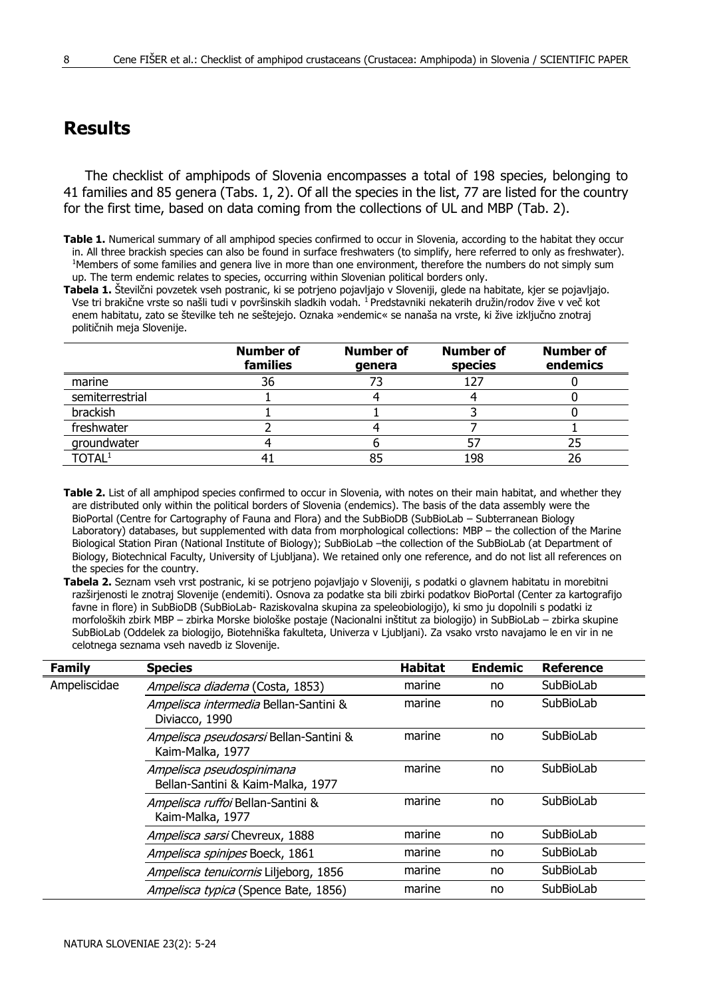## **Results**

The checklist of amphipods of Slovenia encompasses a total of 198 species, belonging to 41 families and 85 genera (Tabs. 1, 2). Of all the species in the list, 77 are listed for the country for the first time, based on data coming from the collections of UL and MBP (Tab. 2).

**Tabela 1.** Številčni povzetek vseh postranic, ki se potrjeno pojavljajo v Sloveniji, glede na habitate, kjer se pojavljajo. Vse tri brakične vrste so našli tudi v površinskih sladkih vodah. <sup>1</sup> Predstavniki nekaterih družin/rodov žive v več kot enem habitatu, zato se številke teh ne seštejejo. Oznaka »endemic« se nanaša na vrste, ki žive izključno znotraj političnih meja Slovenije.

|                             | Number of<br>families | <b>Number of</b><br>genera | <b>Number of</b><br>species | <b>Number of</b><br>endemics |
|-----------------------------|-----------------------|----------------------------|-----------------------------|------------------------------|
| marine                      | 36                    |                            |                             |                              |
| semiterrestrial             |                       |                            |                             |                              |
| brackish                    |                       |                            |                             |                              |
| freshwater                  |                       |                            |                             |                              |
| groundwater                 |                       |                            |                             |                              |
| $\mathsf{T}\mathsf{OTAL}^1$ |                       |                            | 198                         |                              |

**Table 2.** List of all amphipod species confirmed to occur in Slovenia, with notes on their main habitat, and whether they are distributed only within the political borders of Slovenia (endemics). The basis of the data assembly were the BioPortal (Centre for Cartography of Fauna and Flora) and the SubBioDB (SubBioLab – Subterranean Biology Laboratory) databases, but supplemented with data from morphological collections: MBP – the collection of the Marine Biological Station Piran (National Institute of Biology); SubBioLab –the collection of the SubBioLab (at Department of Biology, Biotechnical Faculty, University of Ljubljana). We retained only one reference, and do not list all references on the species for the country.

**Tabela 2.** Seznam vseh vrst postranic, ki se potrjeno pojavljajo v Sloveniji, s podatki o glavnem habitatu in morebitni razširjenosti le znotraj Slovenije (endemiti). Osnova za podatke sta bili zbirki podatkov BioPortal (Center za kartografijo favne in flore) in SubBioDB (SubBioLab- Raziskovalna skupina za speleobiologijo), ki smo ju dopolnili s podatki iz morfoloških zbirk MBP – zbirka Morske biološke postaje (Nacionalni inštitut za biologijo) in SubBioLab – zbirka skupine SubBioLab (Oddelek za biologijo, Biotehniška fakulteta, Univerza v Ljubljani). Za vsako vrsto navajamo le en vir in ne celotnega seznama vseh navedb iz Slovenije.

| Family       | <b>Species</b>                                                 | <b>Habitat</b> | <b>Endemic</b> | <b>Reference</b> |
|--------------|----------------------------------------------------------------|----------------|----------------|------------------|
| Ampeliscidae | Ampelisca diadema (Costa, 1853)                                | marine         | no             | SubBioLab        |
|              | Ampelisca intermedia Bellan-Santini &<br>Diviacco, 1990        | marine         | no             | SubBioLab        |
|              | Ampelisca pseudosarsi Bellan-Santini &<br>Kaim-Malka, 1977     | marine         | no             | SubBioLab        |
|              | Ampelisca pseudospinimana<br>Bellan-Santini & Kaim-Malka, 1977 | marine         | no             | SubBioLab        |
|              | Ampelisca ruffoi Bellan-Santini &<br>Kaim-Malka, 1977          | marine         | no             | SubBioLab        |
|              | Ampelisca sarsi Chevreux, 1888                                 | marine         | no             | SubBioLab        |
|              | Ampelisca spinipes Boeck, 1861                                 | marine         | no             | SubBioLab        |
|              | Ampelisca tenuicornis Liljeborg, 1856                          | marine         | no             | SubBioLab        |
|              | Ampelisca typica (Spence Bate, 1856)                           | marine         | no             | SubBioLab        |

**Table 1.** Numerical summary of all amphipod species confirmed to occur in Slovenia, according to the habitat they occur in. All three brackish species can also be found in surface freshwaters (to simplify, here referred to only as freshwater). <sup>1</sup>Members of some families and genera live in more than one environment, therefore the numbers do not simply sum up. The term endemic relates to species, occurring within Slovenian political borders only.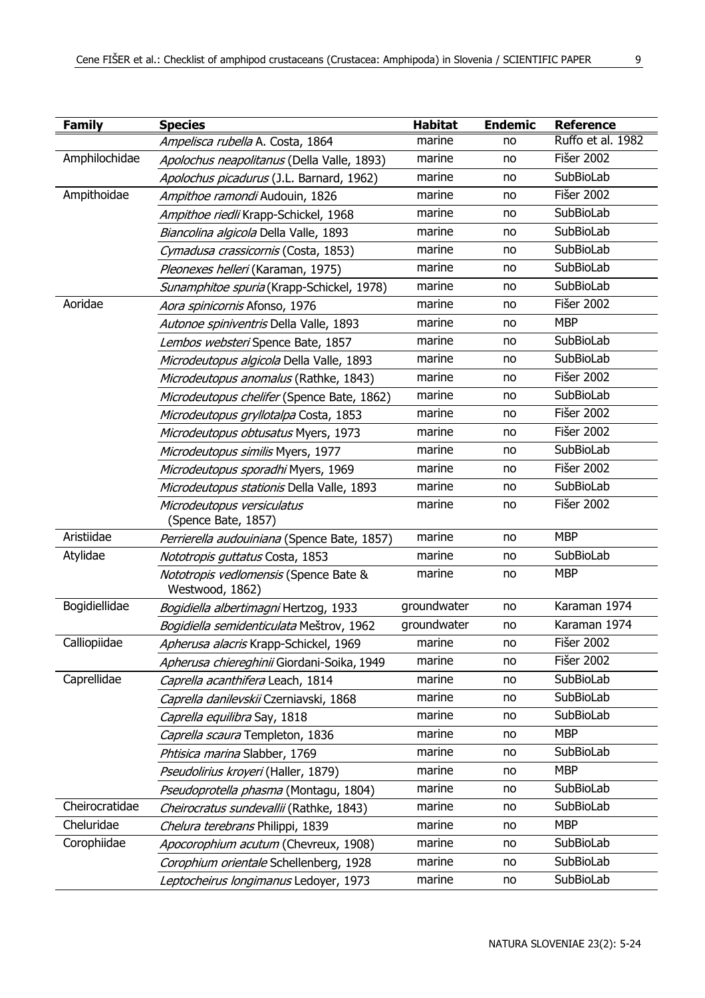| <b>Family</b>  | <b>Species</b>                                           | <b>Habitat</b> | <b>Endemic</b> | <b>Reference</b>  |
|----------------|----------------------------------------------------------|----------------|----------------|-------------------|
|                | Ampelisca rubella A. Costa, 1864                         | marine         | no             | Ruffo et al. 1982 |
| Amphilochidae  | Apolochus neapolitanus (Della Valle, 1893)               | marine         | no             | <b>Fišer 2002</b> |
|                | Apolochus picadurus (J.L. Barnard, 1962)                 | marine         | no             | SubBioLab         |
| Ampithoidae    | Ampithoe ramondi Audouin, 1826                           | marine         | no             | Fišer 2002        |
|                | Ampithoe riedli Krapp-Schickel, 1968                     | marine         | no             | SubBioLab         |
|                | Biancolina algicola Della Valle, 1893                    | marine         | no             | SubBioLab         |
|                | Cymadusa crassicornis (Costa, 1853)                      | marine         | no             | SubBioLab         |
|                | Pleonexes helleri (Karaman, 1975)                        | marine         | no             | SubBioLab         |
|                | Sunamphitoe spuria (Krapp-Schickel, 1978)                | marine         | no             | SubBioLab         |
| Aoridae        | Aora spinicornis Afonso, 1976                            | marine         | no             | <b>Fišer 2002</b> |
|                | Autonoe spiniventris Della Valle, 1893                   | marine         | no             | <b>MBP</b>        |
|                | Lembos websteri Spence Bate, 1857                        | marine         | no             | SubBioLab         |
|                | Microdeutopus algicola Della Valle, 1893                 | marine         | no             | SubBioLab         |
|                | Microdeutopus anomalus (Rathke, 1843)                    | marine         | no             | Fišer 2002        |
|                | Microdeutopus chelifer (Spence Bate, 1862)               | marine         | no             | SubBioLab         |
|                | Microdeutopus gryllotalpa Costa, 1853                    | marine         | no             | <b>Fišer 2002</b> |
|                | <i>Microdeutopus obtusatus</i> Myers, 1973               | marine         | no             | Fišer 2002        |
|                | Microdeutopus similis Myers, 1977                        | marine         | no             | SubBioLab         |
|                | Microdeutopus sporadhi Myers, 1969                       | marine         | no             | Fišer 2002        |
|                | Microdeutopus stationis Della Valle, 1893                | marine         | no             | SubBioLab         |
|                | Microdeutopus versiculatus<br>(Spence Bate, 1857)        | marine         | no             | Fišer 2002        |
| Aristiidae     | Perrierella audouiniana (Spence Bate, 1857)              | marine         | no             | <b>MBP</b>        |
| Atylidae       | Nototropis guttatus Costa, 1853                          | marine         | no             | SubBioLab         |
|                | Nototropis vedlomensis (Spence Bate &<br>Westwood, 1862) | marine         | no             | <b>MBP</b>        |
| Bogidiellidae  | Bogidiella albertimagni Hertzog, 1933                    | groundwater    | no             | Karaman 1974      |
|                | Bogidiella semidenticulata Meštrov, 1962                 | groundwater    | no             | Karaman 1974      |
| Calliopiidae   | Apherusa alacris Krapp-Schickel, 1969                    | marine         | no             | <b>Fišer 2002</b> |
|                | Apherusa chiereghinii Giordani-Soika, 1949               | marine         | no             | Fišer 2002        |
| Caprellidae    | Caprella acanthifera Leach, 1814                         | marine         | no             | SubBioLab         |
|                | Caprella danilevskii Czerniavski, 1868                   | marine         | no             | SubBioLab         |
|                | Caprella equilibra Say, 1818                             | marine         | no             | SubBioLab         |
|                | Caprella scaura Templeton, 1836                          | marine         | no             | <b>MBP</b>        |
|                | Phtisica marina Slabber, 1769                            | marine         | no             | SubBioLab         |
|                | Pseudolirius kroyeri (Haller, 1879)                      | marine         | no             | <b>MBP</b>        |
|                | Pseudoprotella phasma (Montagu, 1804)                    | marine         | no             | SubBioLab         |
| Cheirocratidae | Cheirocratus sundevallii (Rathke, 1843)                  | marine         | no             | SubBioLab         |
| Cheluridae     | Chelura terebrans Philippi, 1839                         | marine         | no             | <b>MBP</b>        |
| Corophiidae    | Apocorophium acutum (Chevreux, 1908)                     | marine         | no             | SubBioLab         |
|                | Corophium orientale Schellenberg, 1928                   | marine         | no             | SubBioLab         |
|                | Leptocheirus longimanus Ledoyer, 1973                    | marine         | no             | SubBioLab         |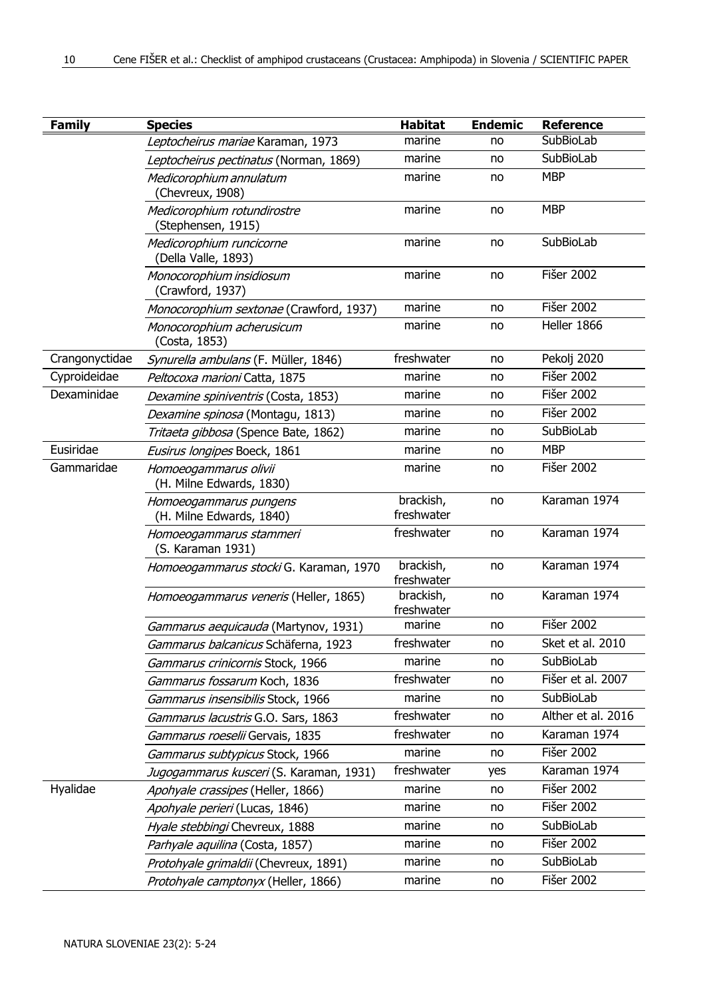| <b>Family</b>  | <b>Species</b>                                     | <b>Habitat</b>          | <b>Endemic</b> | <b>Reference</b>   |
|----------------|----------------------------------------------------|-------------------------|----------------|--------------------|
|                | Leptocheirus mariae Karaman, 1973                  | marine                  | no             | SubBioLab          |
|                | Leptocheirus pectinatus (Norman, 1869)             | marine                  | no             | SubBioLab          |
|                | Medicorophium annulatum<br>(Chevreux, 1908)        | marine                  | no             | <b>MBP</b>         |
|                | Medicorophium rotundirostre<br>(Stephensen, 1915)  | marine                  | no             | <b>MBP</b>         |
|                | Medicorophium runcicorne<br>(Della Valle, 1893)    | marine                  | no             | SubBioLab          |
|                | Monocorophium insidiosum<br>(Crawford, 1937)       | marine                  | no             | Fišer 2002         |
|                | Monocorophium sextonae (Crawford, 1937)            | marine                  | no             | <b>Fišer 2002</b>  |
|                | Monocorophium acherusicum<br>(Costa, 1853)         | marine                  | no             | Heller 1866        |
| Crangonyctidae | Synurella ambulans (F. Müller, 1846)               | freshwater              | no             | Pekolj 2020        |
| Cyproideidae   | Peltocoxa marioni Catta, 1875                      | marine                  | no             | <b>Fišer 2002</b>  |
| Dexaminidae    | Dexamine spiniventris (Costa, 1853)                | marine                  | no             | <b>Fišer 2002</b>  |
|                | Dexamine spinosa (Montagu, 1813)                   | marine                  | no             | <b>Fišer 2002</b>  |
|                | Tritaeta gibbosa (Spence Bate, 1862)               | marine                  | no             | SubBioLab          |
| Eusiridae      | Eusirus longipes Boeck, 1861                       | marine                  | no             | <b>MBP</b>         |
| Gammaridae     | Homoeogammarus olivii<br>(H. Milne Edwards, 1830)  | marine                  | no             | <b>Fišer 2002</b>  |
|                | Homoeogammarus pungens<br>(H. Milne Edwards, 1840) | brackish,<br>freshwater | no             | Karaman 1974       |
|                | Homoeogammarus stammeri<br>(S. Karaman 1931)       | freshwater              | no             | Karaman 1974       |
|                | Homoeogammarus stocki G. Karaman, 1970             | brackish,<br>freshwater | no             | Karaman 1974       |
|                | Homoeogammarus veneris (Heller, 1865)              | brackish,<br>freshwater | no             | Karaman 1974       |
|                | Gammarus aequicauda (Martynov, 1931)               | marine                  | no             | <b>Fišer 2002</b>  |
|                | Gammarus balcanicus Schäferna, 1923                | freshwater              | no             | Sket et al. 2010   |
|                | Gammarus crinicornis Stock, 1966                   | marine                  | no             | SubBioLab          |
|                | Gammarus fossarum Koch, 1836                       | freshwater              | no             | Fišer et al. 2007  |
|                | Gammarus insensibilis Stock, 1966                  | marine                  | no             | SubBioLab          |
|                | Gammarus lacustris G.O. Sars, 1863                 | freshwater              | no             | Alther et al. 2016 |
|                | Gammarus roeselii Gervais, 1835                    | freshwater              | no             | Karaman 1974       |
|                | Gammarus subtypicus Stock, 1966                    | marine                  | no             | <b>Fišer 2002</b>  |
|                | Jugogammarus kusceri (S. Karaman, 1931)            | freshwater              | yes            | Karaman 1974       |
| Hyalidae       | Apohyale crassipes (Heller, 1866)                  | marine                  | no             | <b>Fišer 2002</b>  |
|                | Apohyale perieri (Lucas, 1846)                     | marine                  | no             | <b>Fišer 2002</b>  |
|                | Hyale stebbingi Chevreux, 1888                     | marine                  | no             | SubBioLab          |
|                | Parhyale aquilina (Costa, 1857)                    | marine                  | no             | <b>Fišer 2002</b>  |
|                | Protohyale grimaldii (Chevreux, 1891)              | marine                  | no             | SubBioLab          |
|                | Protohyale camptonyx (Heller, 1866)                | marine                  | no             | Fišer 2002         |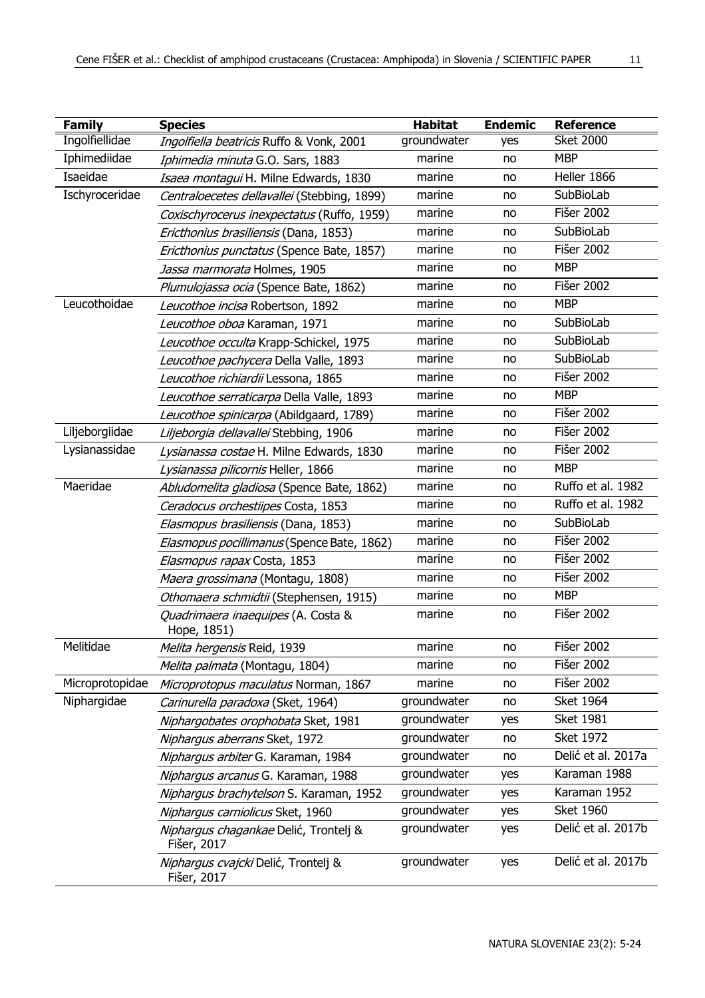| <b>Family</b>   | <b>Species</b>                                       | <b>Habitat</b> | <b>Endemic</b> | Reference          |
|-----------------|------------------------------------------------------|----------------|----------------|--------------------|
| Ingolfiellidae  | Ingolfiella beatricis Ruffo & Vonk, 2001             | groundwater    | yes            | <b>Sket 2000</b>   |
| Iphimediidae    | Iphimedia minuta G.O. Sars, 1883                     | marine         | no             | <b>MBP</b>         |
| Isaeidae        | Isaea montagui H. Milne Edwards, 1830                | marine         | no             | Heller 1866        |
| Ischyroceridae  | Centraloecetes dellavallei (Stebbing, 1899)          | marine         | no             | SubBioLab          |
|                 | Coxischyrocerus inexpectatus (Ruffo, 1959)           | marine         | no             | Fišer 2002         |
|                 | Ericthonius brasiliensis (Dana, 1853)                | marine         | no             | SubBioLab          |
|                 | <i>Ericthonius punctatus</i> (Spence Bate, 1857)     | marine         | no             | <b>Fišer 2002</b>  |
|                 | <i>Jassa marmorata</i> Holmes, 1905                  | marine         | no             | <b>MBP</b>         |
|                 | Plumulojassa ocia (Spence Bate, 1862)                | marine         | no             | Fišer 2002         |
| Leucothoidae    | Leucothoe incisa Robertson, 1892                     | marine         | no             | <b>MBP</b>         |
|                 | Leucothoe oboa Karaman, 1971                         | marine         | no             | SubBioLab          |
|                 | Leucothoe occulta Krapp-Schickel, 1975               | marine         | no             | SubBioLab          |
|                 | <i>Leucothoe pachycera</i> Della Valle, 1893         | marine         | no             | SubBioLab          |
|                 | <i>Leucothoe richiardii</i> Lessona, 1865            | marine         | no             | <b>Fišer 2002</b>  |
|                 | Leucothoe serraticarpa Della Valle, 1893             | marine         | no             | <b>MBP</b>         |
|                 | Leucothoe spinicarpa (Abildgaard, 1789)              | marine         | no             | <b>Fišer 2002</b>  |
| Liljeborgiidae  | Liljeborgia dellavallei Stebbing, 1906               | marine         | no             | Fišer 2002         |
| Lysianassidae   | Lysianassa costae H. Milne Edwards, 1830             | marine         | no             | Fišer 2002         |
|                 | Lysianassa pilicornis Heller, 1866                   | marine         | no             | <b>MBP</b>         |
| Maeridae        | Abludomelita gladiosa (Spence Bate, 1862)            | marine         | no             | Ruffo et al. 1982  |
|                 | Ceradocus orchestiipes Costa, 1853                   | marine         | no             | Ruffo et al. 1982  |
|                 | Elasmopus brasiliensis (Dana, 1853)                  | marine         | no             | SubBioLab          |
|                 | Elasmopus pocillimanus (Spence Bate, 1862)           | marine         | no             | Fišer 2002         |
|                 | Elasmopus rapax Costa, 1853                          | marine         | no             | Fišer 2002         |
|                 | <i>Maera grossimana</i> (Montagu, 1808)              | marine         | no             | Fišer 2002         |
|                 | <i>Othomaera schmidtii</i> (Stephensen, 1915)        | marine         | no             | <b>MBP</b>         |
|                 | Quadrimaera inaequipes (A. Costa &<br>Hope, 1851)    | marine         | no             | <b>Fišer 2002</b>  |
| Melitidae       | Melita hergensis Reid, 1939                          | marine         | no             | <b>Fišer 2002</b>  |
|                 | Melita palmata (Montagu, 1804)                       | marine         | no             | <b>Fišer 2002</b>  |
| Microprotopidae | Microprotopus maculatus Norman, 1867                 | marine         | no             | Fišer 2002         |
| Niphargidae     | Carinurella paradoxa (Sket, 1964)                    | groundwater    | no             | <b>Sket 1964</b>   |
|                 | Niphargobates orophobata Sket, 1981                  | groundwater    | yes            | <b>Sket 1981</b>   |
|                 | Niphargus aberrans Sket, 1972                        | groundwater    | no             | <b>Sket 1972</b>   |
|                 | Niphargus arbiter G. Karaman, 1984                   | groundwater    | no             | Delić et al. 2017a |
|                 | Niphargus arcanus G. Karaman, 1988                   | groundwater    | yes            | Karaman 1988       |
|                 | Niphargus brachytelson S. Karaman, 1952              | groundwater    | yes            | Karaman 1952       |
|                 | Niphargus carniolicus Sket, 1960                     | groundwater    | yes            | <b>Sket 1960</b>   |
|                 | Niphargus chagankae Delić, Trontelj &<br>Fišer, 2017 | groundwater    | yes            | Delić et al. 2017b |
|                 | Niphargus cvajcki Delić, Trontelj &<br>Fišer, 2017   | groundwater    | yes            | Delić et al. 2017b |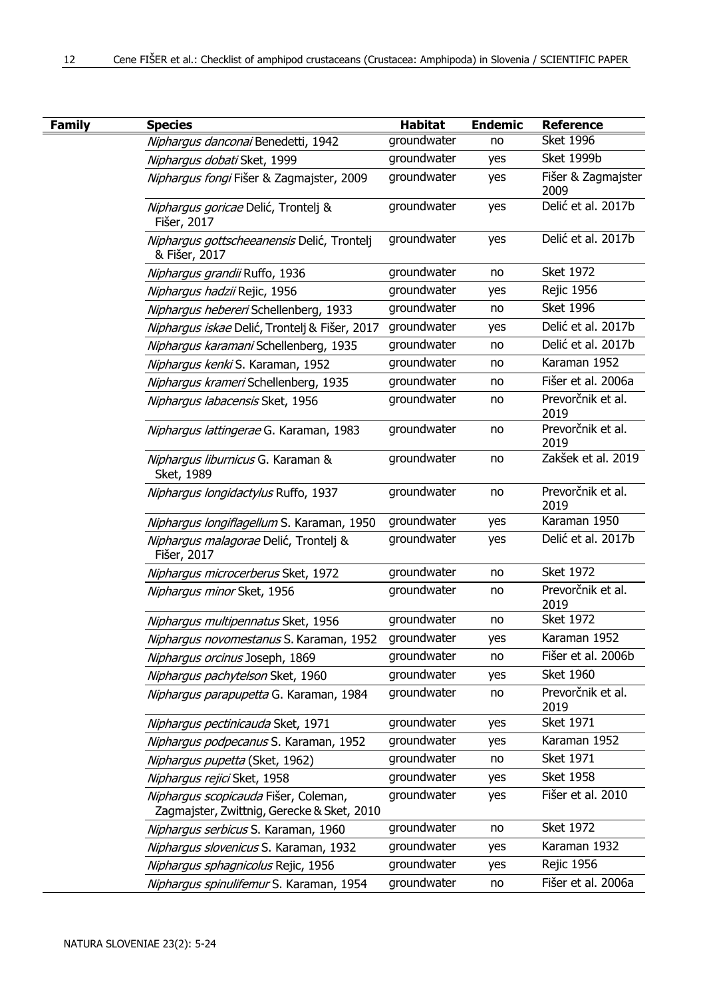| Family | <b>Species</b>                                                                     | Habitat     | <b>Endemic</b> | <b>Reference</b>           |
|--------|------------------------------------------------------------------------------------|-------------|----------------|----------------------------|
|        | Niphargus danconai Benedetti, 1942                                                 | groundwater | no             | <b>Sket 1996</b>           |
|        | Niphargus dobati Sket, 1999                                                        | groundwater | yes            | Sket 1999b                 |
|        | Niphargus fongi Fišer & Zagmajster, 2009                                           | groundwater | yes            | Fišer & Zagmajster<br>2009 |
|        | <i>Nipharqus goricae</i> Delić, Trontelj &<br>Fišer, 2017                          | groundwater | yes            | Delić et al. 2017b         |
|        | Niphargus gottscheeanensis Delić, Trontelj<br>& Fišer, 2017                        | groundwater | yes            | Delić et al. 2017b         |
|        | Niphargus grandii Ruffo, 1936                                                      | groundwater | no             | <b>Sket 1972</b>           |
|        | <i>Niphargus hadzii</i> Rejic, 1956                                                | groundwater | yes            | <b>Rejic 1956</b>          |
|        | Niphargus hebereri Schellenberg, 1933                                              | groundwater | no             | <b>Sket 1996</b>           |
|        | <i>Niphargus iskae</i> Delić, Trontelj & Fišer, 2017                               | groundwater | yes            | Delić et al. 2017b         |
|        | Niphargus karamani Schellenberg, 1935                                              | groundwater | no             | Delić et al. 2017b         |
|        | Niphargus kenki S. Karaman, 1952                                                   | groundwater | no             | Karaman 1952               |
|        | Niphargus krameri Schellenberg, 1935                                               | groundwater | no             | Fišer et al. 2006a         |
|        | Niphargus labacensis Sket, 1956                                                    | groundwater | no             | Prevorčnik et al.<br>2019  |
|        | Niphargus lattingerae G. Karaman, 1983                                             | groundwater | no             | Prevorčnik et al.<br>2019  |
|        | Nipharqus liburnicus G. Karaman &<br>Sket, 1989                                    | groundwater | no             | Zakšek et al. 2019         |
|        | Niphargus longidactylus Ruffo, 1937                                                | groundwater | no             | Prevorčnik et al.<br>2019  |
|        | Niphargus longiflagellum S. Karaman, 1950                                          | groundwater | yes            | Karaman 1950               |
|        | <i>Niphargus malagorae</i> Delić, Trontelj &<br>Fišer, 2017                        | groundwater | yes            | Delić et al. 2017b         |
|        | Niphargus microcerberus Sket, 1972                                                 | groundwater | no             | <b>Sket 1972</b>           |
|        | Nipharqus minor Sket, 1956                                                         | groundwater | no             | Prevorčnik et al.<br>2019  |
|        | Niphargus multipennatus Sket, 1956                                                 | groundwater | no             | <b>Sket 1972</b>           |
|        | Niphargus novomestanus S. Karaman, 1952                                            | groundwater | yes            | Karaman 1952               |
|        | Niphargus orcinus Joseph, 1869                                                     | groundwater | no             | Fišer et al. 2006b         |
|        | <i>Niphargus pachytelson</i> Sket, 1960                                            | groundwater | yes            | <b>Sket 1960</b>           |
|        | Niphargus parapupetta G. Karaman, 1984                                             | groundwater | no             | Prevorčnik et al.<br>2019  |
|        | Niphargus pectinicauda Sket, 1971                                                  | groundwater | yes            | <b>Sket 1971</b>           |
|        | Niphargus podpecanus S. Karaman, 1952                                              | groundwater | yes            | Karaman 1952               |
|        | Niphargus pupetta (Sket, 1962)                                                     | groundwater | no             | <b>Sket 1971</b>           |
|        | <i>Niphargus rejici</i> Sket, 1958                                                 | groundwater | yes            | <b>Sket 1958</b>           |
|        | Niphargus scopicauda Fišer, Coleman,<br>Zagmajster, Zwittnig, Gerecke & Sket, 2010 | groundwater | yes            | Fišer et al. 2010          |
|        | Niphargus serbicus S. Karaman, 1960                                                | groundwater | no             | <b>Sket 1972</b>           |
|        | Niphargus slovenicus S. Karaman, 1932                                              | groundwater | yes            | Karaman 1932               |
|        | Niphargus sphagnicolus Rejic, 1956                                                 | groundwater | yes            | <b>Rejic 1956</b>          |
|        | Niphargus spinulifemur S. Karaman, 1954                                            | groundwater | no             | Fišer et al. 2006a         |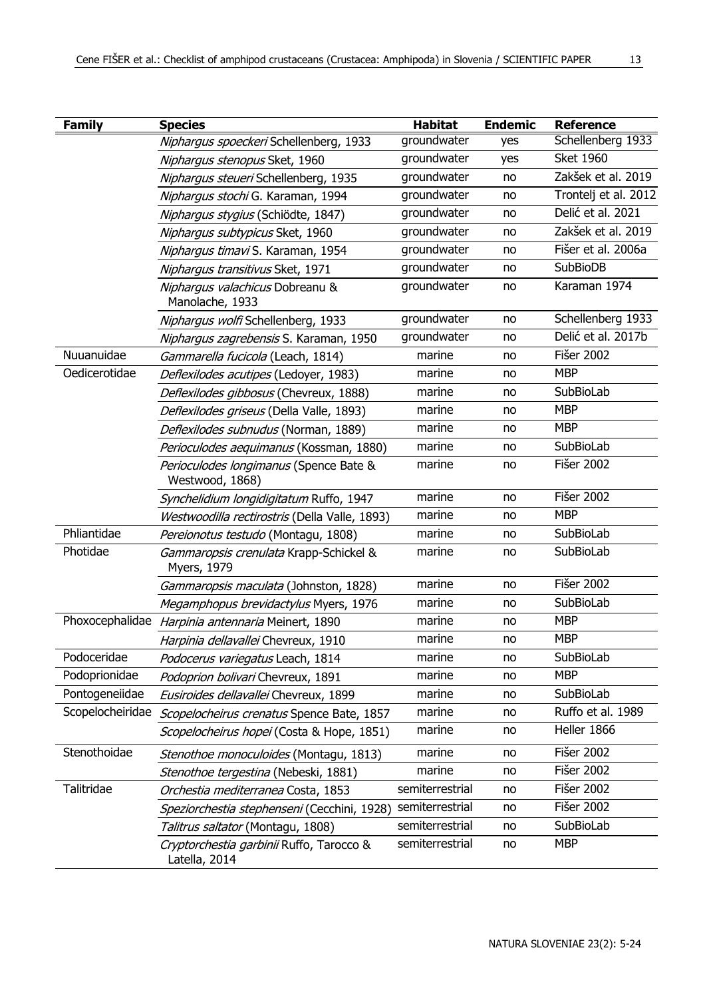| I |
|---|
|   |

| <b>Family</b>    | <b>Species</b>                                            | <b>Habitat</b>  | <b>Endemic</b> | <b>Reference</b>     |
|------------------|-----------------------------------------------------------|-----------------|----------------|----------------------|
|                  | Niphargus spoeckeri Schellenberg, 1933                    | groundwater     | yes            | Schellenberg 1933    |
|                  | Niphargus stenopus Sket, 1960                             | groundwater     | yes            | <b>Sket 1960</b>     |
|                  | Niphargus steueri Schellenberg, 1935                      | groundwater     | no             | Zakšek et al. 2019   |
|                  | Niphargus stochi G. Karaman, 1994                         | groundwater     | no             | Trontelj et al. 2012 |
|                  | Niphargus stygius (Schiödte, 1847)                        | groundwater     | no             | Delić et al. 2021    |
|                  | Niphargus subtypicus Sket, 1960                           | groundwater     | no             | Zakšek et al. 2019   |
|                  | Nipharqus timavi S. Karaman, 1954                         | groundwater     | no             | Fišer et al. 2006a   |
|                  | Niphargus transitivus Sket, 1971                          | groundwater     | no             | <b>SubBioDB</b>      |
|                  | Niphargus valachicus Dobreanu &<br>Manolache, 1933        | groundwater     | no             | Karaman 1974         |
|                  | Niphargus wolfi Schellenberg, 1933                        | groundwater     | no             | Schellenberg 1933    |
|                  | Niphargus zagrebensis S. Karaman, 1950                    | groundwater     | no             | Delić et al. 2017b   |
| Nuuanuidae       | Gammarella fucicola (Leach, 1814)                         | marine          | no             | <b>Fišer 2002</b>    |
| Oedicerotidae    | Deflexilodes acutipes (Ledoyer, 1983)                     | marine          | no             | <b>MBP</b>           |
|                  | Deflexilodes gibbosus (Chevreux, 1888)                    | marine          | no             | SubBioLab            |
|                  | Deflexilodes griseus (Della Valle, 1893)                  | marine          | no             | <b>MBP</b>           |
|                  | Deflexilodes subnudus (Norman, 1889)                      | marine          | no             | <b>MBP</b>           |
|                  | Perioculodes aequimanus (Kossman, 1880)                   | marine          | no             | SubBioLab            |
|                  | Perioculodes longimanus (Spence Bate &<br>Westwood, 1868) | marine          | no             | Fišer 2002           |
|                  | Synchelidium longidigitatum Ruffo, 1947                   | marine          | no             | <b>Fišer 2002</b>    |
|                  | Westwoodilla rectirostris (Della Valle, 1893)             | marine          | no             | <b>MBP</b>           |
| Phliantidae      | Pereionotus testudo (Montagu, 1808)                       | marine          | no             | SubBioLab            |
| Photidae         | Gammaropsis crenulata Krapp-Schickel &<br>Myers, 1979     | marine          | no             | SubBioLab            |
|                  | Gammaropsis maculata (Johnston, 1828)                     | marine          | no             | <b>Fišer 2002</b>    |
|                  | Megamphopus brevidactylus Myers, 1976                     | marine          | no             | SubBioLab            |
|                  | Phoxocephalidae Harpinia antennaria Meinert, 1890         | marine          | no             | <b>MBP</b>           |
|                  | Harpinia dellavallei Chevreux, 1910                       | marine          | no             | <b>MBP</b>           |
| Podoceridae      | Podocerus variegatus Leach, 1814                          | marine          | no             | SubBioLab            |
| Podoprionidae    | Podoprion bolivari Chevreux, 1891                         | marine          | no             | <b>MBP</b>           |
| Pontogeneiidae   | Eusiroides dellavallei Chevreux, 1899                     | marine          | no             | SubBioLab            |
| Scopelocheiridae | Scopelocheirus crenatus Spence Bate, 1857                 | marine          | no             | Ruffo et al. 1989    |
|                  | <i>Scopelocheirus hopei</i> (Costa & Hope, 1851)          | marine          | no             | Heller 1866          |
| Stenothoidae     | Stenothoe monoculoides (Montagu, 1813)                    | marine          | no             | Fišer 2002           |
|                  | Stenothoe tergestina (Nebeski, 1881)                      | marine          | no             | <b>Fišer 2002</b>    |
| Talitridae       | Orchestia mediterranea Costa, 1853                        | semiterrestrial | no             | Fišer 2002           |
|                  | Speziorchestia stephenseni (Cecchini, 1928)               | semiterrestrial | no             | <b>Fišer 2002</b>    |
|                  | Talitrus saltator (Montagu, 1808)                         | semiterrestrial | no             | SubBioLab            |
|                  | Cryptorchestia garbinii Ruffo, Tarocco &<br>Latella, 2014 | semiterrestrial | no             | <b>MBP</b>           |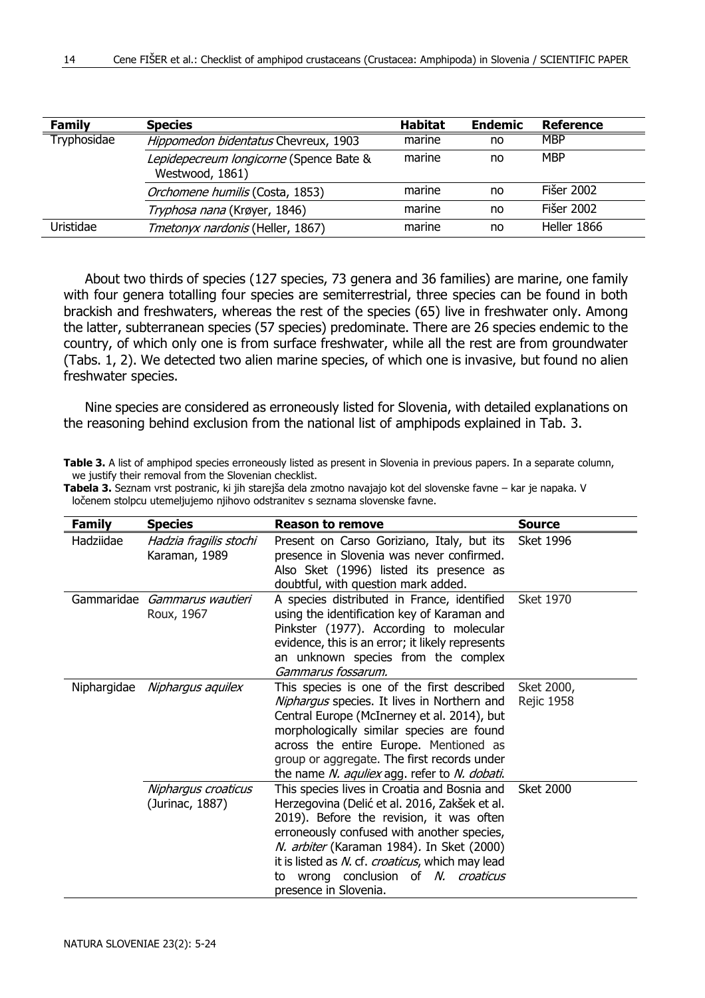| Family      | <b>Species</b>                                             | <b>Habitat</b> | <b>Endemic</b> | Reference   |
|-------------|------------------------------------------------------------|----------------|----------------|-------------|
| Tryphosidae | Hippomedon bidentatus Chevreux, 1903                       | marine         | no             | <b>MBP</b>  |
|             | Lepidepecreum longicorne (Spence Bate &<br>Westwood, 1861) | marine         | no             | <b>MBP</b>  |
|             | Orchomene humilis (Costa, 1853)                            | marine         | no             | Fišer 2002  |
|             | Tryphosa nana (Krøyer, 1846)                               | marine         | no             | Fišer 2002  |
| Uristidae   | Tmetonyx nardonis (Heller, 1867)                           | marine         | no             | Heller 1866 |

About two thirds of species (127 species, 73 genera and 36 families) are marine, one family with four genera totalling four species are semiterrestrial, three species can be found in both brackish and freshwaters, whereas the rest of the species (65) live in freshwater only. Among the latter, subterranean species (57 species) predominate. There are 26 species endemic to the country, of which only one is from surface freshwater, while all the rest are from groundwater (Tabs. 1, 2). We detected two alien marine species, of which one is invasive, but found no alien freshwater species.

Nine species are considered as erroneously listed for Slovenia, with detailed explanations on the reasoning behind exclusion from the national list of amphipods explained in Tab. 3.

| Table 3. A list of amphipod species erroneously listed as present in Slovenia in previous papers. In a separate column, |  |  |
|-------------------------------------------------------------------------------------------------------------------------|--|--|
| we justify their removal from the Slovenian checklist.                                                                  |  |  |

| <b>Family</b> | <b>Species</b>                             | <b>Reason to remove</b>                                                                                                                                                                                                                                                                                                                                     | <b>Source</b>                   |
|---------------|--------------------------------------------|-------------------------------------------------------------------------------------------------------------------------------------------------------------------------------------------------------------------------------------------------------------------------------------------------------------------------------------------------------------|---------------------------------|
| Hadziidae     | Hadzia fragilis stochi<br>Karaman, 1989    | Present on Carso Goriziano, Italy, but its<br>presence in Slovenia was never confirmed.<br>Also Sket (1996) listed its presence as<br>doubtful, with question mark added.                                                                                                                                                                                   | Sket 1996                       |
|               | Gammaridae Gammarus wautieri<br>Roux, 1967 | A species distributed in France, identified<br>using the identification key of Karaman and<br>Pinkster (1977). According to molecular<br>evidence, this is an error; it likely represents<br>an unknown species from the complex<br>Gammarus fossarum.                                                                                                      | <b>Sket 1970</b>                |
| Niphargidae   | Niphargus aquilex                          | This species is one of the first described<br>Niphargus species. It lives in Northern and<br>Central Europe (McInerney et al. 2014), but<br>morphologically similar species are found<br>across the entire Europe. Mentioned as<br>group or aggregate. The first records under<br>the name N. aquliex agg. refer to N. dobati.                              | Sket 2000,<br><b>Rejic 1958</b> |
|               | Niphargus croaticus<br>(Jurinac, 1887)     | This species lives in Croatia and Bosnia and<br>Herzegovina (Delić et al. 2016, Zakšek et al.<br>2019). Before the revision, it was often<br>erroneously confused with another species,<br>N. arbiter (Karaman 1984). In Sket (2000)<br>it is listed as N. cf. croaticus, which may lead<br>wrong conclusion of N. croaticus<br>to<br>presence in Slovenia. | <b>Sket 2000</b>                |

**Tabela 3.** Seznam vrst postranic, ki jih starejša dela zmotno navajajo kot del slovenske favne – kar je napaka. V ločenem stolpcu utemeljujemo njihovo odstranitev s seznama slovenske favne.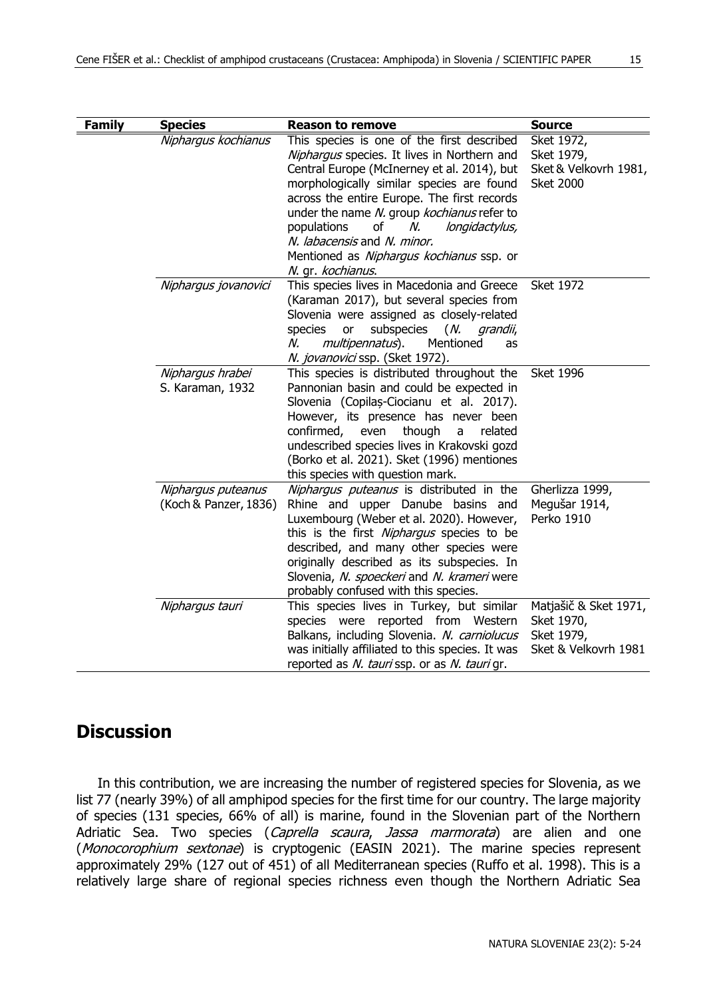| ۰            |
|--------------|
| I<br>w<br>×. |

| <b>Family</b> | <b>Species</b>                              | <b>Reason to remove</b>                                                                                                                                                                                                                                                                                                                                                                                                         | <b>Source</b>                                                             |
|---------------|---------------------------------------------|---------------------------------------------------------------------------------------------------------------------------------------------------------------------------------------------------------------------------------------------------------------------------------------------------------------------------------------------------------------------------------------------------------------------------------|---------------------------------------------------------------------------|
|               | Niphargus kochianus                         | This species is one of the first described<br>Niphargus species. It lives in Northern and<br>Central Europe (McInerney et al. 2014), but<br>morphologically similar species are found<br>across the entire Europe. The first records<br>under the name N. group kochianus refer to<br>οf<br>populations<br>N.<br>longidactylus,<br>N. labacensis and N. minor.<br>Mentioned as Niphargus kochianus ssp. or<br>N. qr. kochianus. | Sket 1972,<br>Sket 1979,<br>Sket & Velkovrh 1981,<br><b>Sket 2000</b>     |
|               | Nipharqus jovanovici                        | This species lives in Macedonia and Greece<br>(Karaman 2017), but several species from<br>Slovenia were assigned as closely-related<br>subspecies<br>(N. grandii,<br>species<br>or<br>multipennatus).<br>Mentioned<br>N.<br>as<br>N. jovanovici ssp. (Sket 1972).                                                                                                                                                               | <b>Sket 1972</b>                                                          |
|               | Niphargus hrabei<br>S. Karaman, 1932        | This species is distributed throughout the<br>Pannonian basin and could be expected in<br>Slovenia (Copilas-Ciocianu et al. 2017).<br>However, its presence has never been<br>confirmed,<br>even<br>though<br>related<br>a<br>undescribed species lives in Krakovski gozd<br>(Borko et al. 2021). Sket (1996) mentiones<br>this species with question mark.                                                                     | <b>Sket 1996</b>                                                          |
|               | Niphargus puteanus<br>(Koch & Panzer, 1836) | Nipharqus puteanus is distributed in the<br>Rhine and upper Danube basins and<br>Luxembourg (Weber et al. 2020). However,<br>this is the first Niphargus species to be<br>described, and many other species were<br>originally described as its subspecies. In<br>Slovenia, N. spoeckeri and N. krameri were<br>probably confused with this species.                                                                            | Gherlizza 1999,<br>Megušar 1914,<br>Perko 1910                            |
|               | Niphargus tauri                             | This species lives in Turkey, but similar<br>species were reported from Western<br>Balkans, including Slovenia. N. carniolucus<br>was initially affiliated to this species. It was<br>reported as N. tauri ssp. or as N. tauri gr.                                                                                                                                                                                              | Matjašič & Sket 1971,<br>Sket 1970,<br>Sket 1979,<br>Sket & Velkovrh 1981 |

# **Discussion**

In this contribution, we are increasing the number of registered species for Slovenia, as we list 77 (nearly 39%) of all amphipod species for the first time for our country. The large majority of species (131 species, 66% of all) is marine, found in the Slovenian part of the Northern Adriatic Sea. Two species (Caprella scaura, Jassa marmorata) are alien and one (Monocorophium sextonae) is cryptogenic (EASIN 2021). The marine species represent approximately 29% (127 out of 451) of all Mediterranean species (Ruffo et al. 1998). This is a relatively large share of regional species richness even though the Northern Adriatic Sea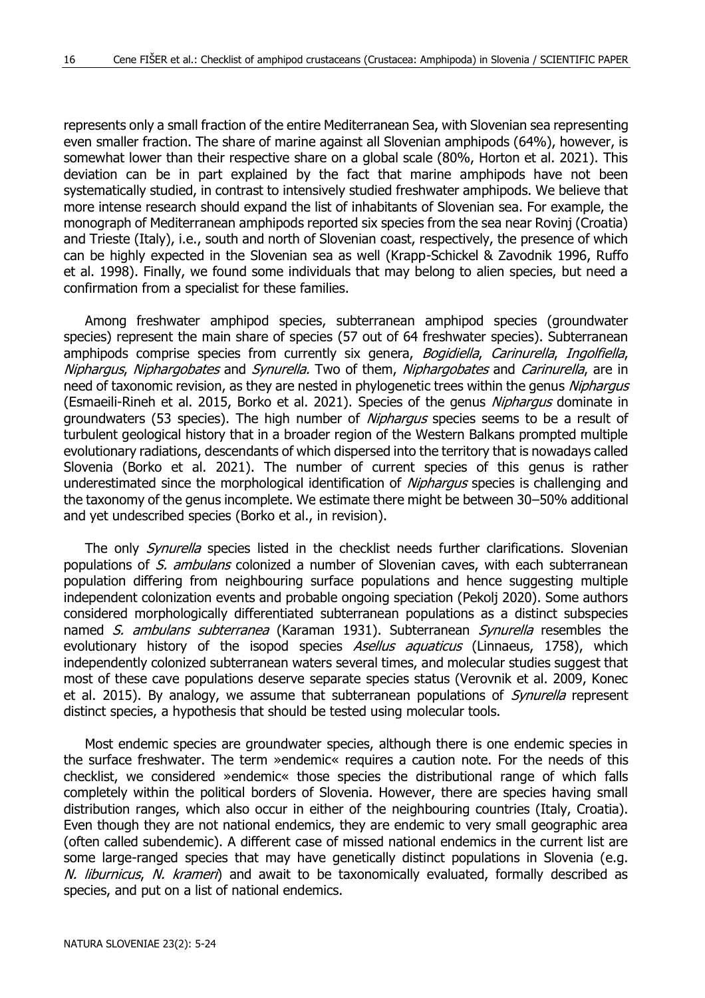represents only a small fraction of the entire Mediterranean Sea, with Slovenian sea representing even smaller fraction. The share of marine against all Slovenian amphipods (64%), however, is somewhat lower than their respective share on a global scale (80%, Horton et al. 2021). This deviation can be in part explained by the fact that marine amphipods have not been systematically studied, in contrast to intensively studied freshwater amphipods. We believe that more intense research should expand the list of inhabitants of Slovenian sea. For example, the monograph of Mediterranean amphipods reported six species from the sea near Rovinj (Croatia) and Trieste (Italy), i.e., south and north of Slovenian coast, respectively, the presence of which can be highly expected in the Slovenian sea as well (Krapp-Schickel & Zavodnik 1996, Ruffo et al. 1998). Finally, we found some individuals that may belong to alien species, but need a confirmation from a specialist for these families.

Among freshwater amphipod species, subterranean amphipod species (groundwater species) represent the main share of species (57 out of 64 freshwater species). Subterranean amphipods comprise species from currently six genera, Bogidiella, Carinurella, Ingolfiella, Niphargus, Niphargobates and Synurella. Two of them, Niphargobates and Carinurella, are in need of taxonomic revision, as they are nested in phylogenetic trees within the genus Niphargus (Esmaeili-Rineh et al. 2015, Borko et al. 2021). Species of the genus *Niphargus* dominate in groundwaters (53 species). The high number of *Niphargus* species seems to be a result of turbulent geological history that in a broader region of the Western Balkans prompted multiple evolutionary radiations, descendants of which dispersed into the territory that is nowadays called Slovenia (Borko et al. 2021). The number of current species of this genus is rather underestimated since the morphological identification of *Niphargus* species is challenging and the taxonomy of the genus incomplete. We estimate there might be between 30–50% additional and yet undescribed species (Borko et al., in revision).

The only *Synurella* species listed in the checklist needs further clarifications. Slovenian populations of S. ambulans colonized a number of Slovenian caves, with each subterranean population differing from neighbouring surface populations and hence suggesting multiple independent colonization events and probable ongoing speciation (Pekolj 2020). Some authors considered morphologically differentiated subterranean populations as a distinct subspecies named S. ambulans subterranea (Karaman 1931). Subterranean Synurella resembles the evolutionary history of the isopod species Asellus aquaticus (Linnaeus, 1758), which independently colonized subterranean waters several times, and molecular studies suggest that most of these cave populations deserve separate species status (Verovnik et al. 2009, Konec et al. 2015). By analogy, we assume that subterranean populations of *Synurella* represent distinct species, a hypothesis that should be tested using molecular tools.

Most endemic species are groundwater species, although there is one endemic species in the surface freshwater. The term »endemic« requires a caution note. For the needs of this checklist, we considered »endemic« those species the distributional range of which falls completely within the political borders of Slovenia. However, there are species having small distribution ranges, which also occur in either of the neighbouring countries (Italy, Croatia). Even though they are not national endemics, they are endemic to very small geographic area (often called subendemic). A different case of missed national endemics in the current list are some large-ranged species that may have genetically distinct populations in Slovenia (e.g. N. liburnicus, N. krameri) and await to be taxonomically evaluated, formally described as species, and put on a list of national endemics.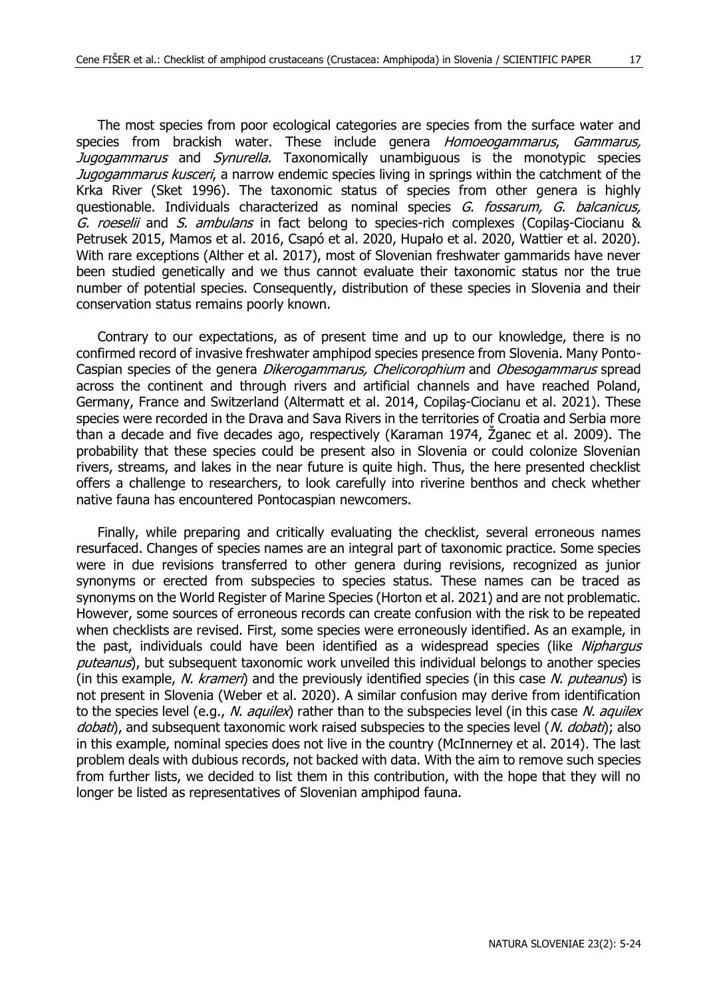The most species from poor ecological categories are species from the surface water and species from brackish water. These include genera *Homoeogammarus, Gammarus,* Jugogammarus and Synurella. Taxonomically unambiguous is the monotypic species Jugogammarus kusceri, a narrow endemic species living in springs within the catchment of the Krka River (Sket 1996). The taxonomic status of species from other genera is highly questionable. Individuals characterized as nominal species G. fossarum, G. balcanicus, G. roeselii and S. ambulans in fact belong to species-rich complexes (Copilas-Ciocianu & Petrusek 2015, Mamos et al. 2016, Csapó et al. 2020, Hupało et al. 2020, Wattier et al. 2020). With rare exceptions (Alther et al. 2017), most of Slovenian freshwater gammarids have never been studied genetically and we thus cannot evaluate their taxonomic status nor the true number of potential species. Consequently, distribution of these species in Slovenia and their conservation status remains poorly known.

Contrary to our expectations, as of present time and up to our knowledge, there is no confirmed record of invasive freshwater amphipod species presence from Slovenia. Many Ponto-Caspian species of the genera Dikerogammarus, Chelicorophium and Obesogammarus spread across the continent and through rivers and artificial channels and have reached Poland, Germany, France and Switzerland (Altermatt et al. 2014, Copilaş-Ciocianu et al. 2021). These species were recorded in the Drava and Sava Rivers in the territories of Croatia and Serbia more than a decade and five decades ago, respectively (Karaman 1974, Žganec et al. 2009). The probability that these species could be present also in Slovenia or could colonize Slovenian rivers, streams, and lakes in the near future is quite high. Thus, the here presented checklist offers a challenge to researchers, to look carefully into riverine benthos and check whether native fauna has encountered Pontocaspian newcomers.

Finally, while preparing and critically evaluating the checklist, several erroneous names resurfaced. Changes of species names are an integral part of taxonomic practice. Some species were in due revisions transferred to other genera during revisions, recognized as junior synonyms or erected from subspecies to species status. These names can be traced as synonyms on the World Register of Marine Species (Horton et al. 2021) and are not problematic. However, some sources of erroneous records can create confusion with the risk to be repeated when checklists are revised. First, some species were erroneously identified. As an example, in the past, individuals could have been identified as a widespread species (like Niphargus puteanus), but subsequent taxonomic work unveiled this individual belongs to another species (in this example, N. krameri) and the previously identified species (in this case N. puteanus) is not present in Slovenia (Weber et al. 2020). A similar confusion may derive from identification to the species level (e.g., N. aquilex) rather than to the subspecies level (in this case N. aquilex dobati), and subsequent taxonomic work raised subspecies to the species level (N. dobati); also in this example, nominal species does not live in the country (McInnerney et al. 2014). The last problem deals with dubious records, not backed with data. With the aim to remove such species from further lists, we decided to list them in this contribution, with the hope that they will no longer be listed as representatives of Slovenian amphipod fauna.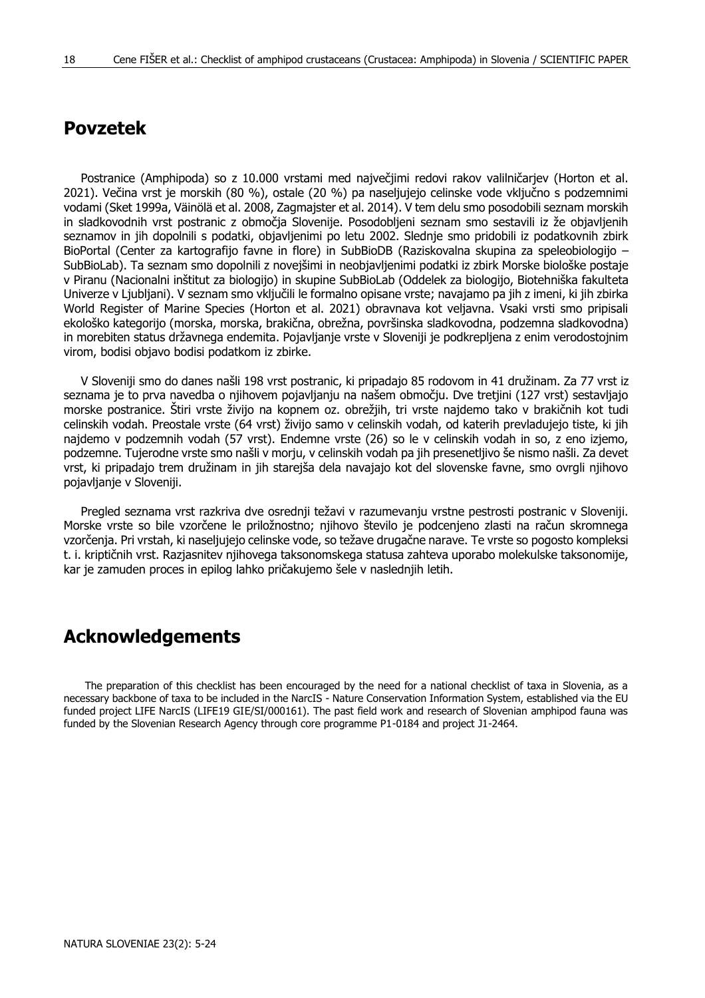## **Povzetek**

Postranice (Amphipoda) so z 10.000 vrstami med največjimi redovi rakov valilničarjev (Horton et al. 2021). Večina vrst je morskih (80 %), ostale (20 %) pa naseljujejo celinske vode vključno s podzemnimi vodami (Sket 1999a, Väinölä et al. 2008, Zagmajster et al. 2014). V tem delu smo posodobili seznam morskih in sladkovodnih vrst postranic z območja Slovenije. Posodobljeni seznam smo sestavili iz že objavljenih seznamov in jih dopolnili s podatki, objavljenimi po letu 2002. Slednje smo pridobili iz podatkovnih zbirk BioPortal (Center za kartografijo favne in flore) in SubBioDB (Raziskovalna skupina za speleobiologijo – SubBioLab). Ta seznam smo dopolnili z novejšimi in neobjavljenimi podatki iz zbirk Morske biološke postaje v Piranu (Nacionalni inštitut za biologijo) in skupine SubBioLab (Oddelek za biologijo, Biotehniška fakulteta Univerze v Ljubljani). V seznam smo vključili le formalno opisane vrste; navajamo pa jih z imeni, ki jih zbirka World Register of Marine Species (Horton et al. 2021) obravnava kot veljavna. Vsaki vrsti smo pripisali ekološko kategorijo (morska, morska, brakična, obrežna, površinska sladkovodna, podzemna sladkovodna) in morebiten status državnega endemita. Pojavljanje vrste v Sloveniji je podkrepljena z enim verodostojnim virom, bodisi objavo bodisi podatkom iz zbirke.

V Sloveniji smo do danes našli 198 vrst postranic, ki pripadajo 85 rodovom in 41 družinam. Za 77 vrst iz seznama je to prva navedba o njihovem pojavljanju na našem območju. Dve tretjini (127 vrst) sestavljajo morske postranice. Štiri vrste živijo na kopnem oz. obrežjih, tri vrste najdemo tako v brakičnih kot tudi celinskih vodah. Preostale vrste (64 vrst) živijo samo v celinskih vodah, od katerih prevladujejo tiste, ki jih najdemo v podzemnih vodah (57 vrst). Endemne vrste (26) so le v celinskih vodah in so, z eno izjemo, podzemne. Tujerodne vrste smo našli v morju, v celinskih vodah pa jih presenetljivo še nismo našli. Za devet vrst, ki pripadajo trem družinam in jih starejša dela navajajo kot del slovenske favne, smo ovrgli njihovo pojavljanje v Sloveniji.

Pregled seznama vrst razkriva dve osrednji težavi v razumevanju vrstne pestrosti postranic v Sloveniji. Morske vrste so bile vzorčene le priložnostno; njihovo število je podcenjeno zlasti na račun skromnega vzorčenja. Pri vrstah, ki naseljujejo celinske vode, so težave drugačne narave. Te vrste so pogosto kompleksi t. i. kriptičnih vrst. Razjasnitev njihovega taksonomskega statusa zahteva uporabo molekulske taksonomije, kar je zamuden proces in epilog lahko pričakujemo šele v naslednjih letih.

## **Acknowledgements**

The preparation of this checklist has been encouraged by the need for a national checklist of taxa in Slovenia, as a necessary backbone of taxa to be included in the NarcIS - Nature Conservation Information System, established via the EU funded project LIFE NarcIS (LIFE19 GIE/SI/000161). The past field work and research of Slovenian amphipod fauna was funded by the Slovenian Research Agency through core programme P1-0184 and project J1-2464.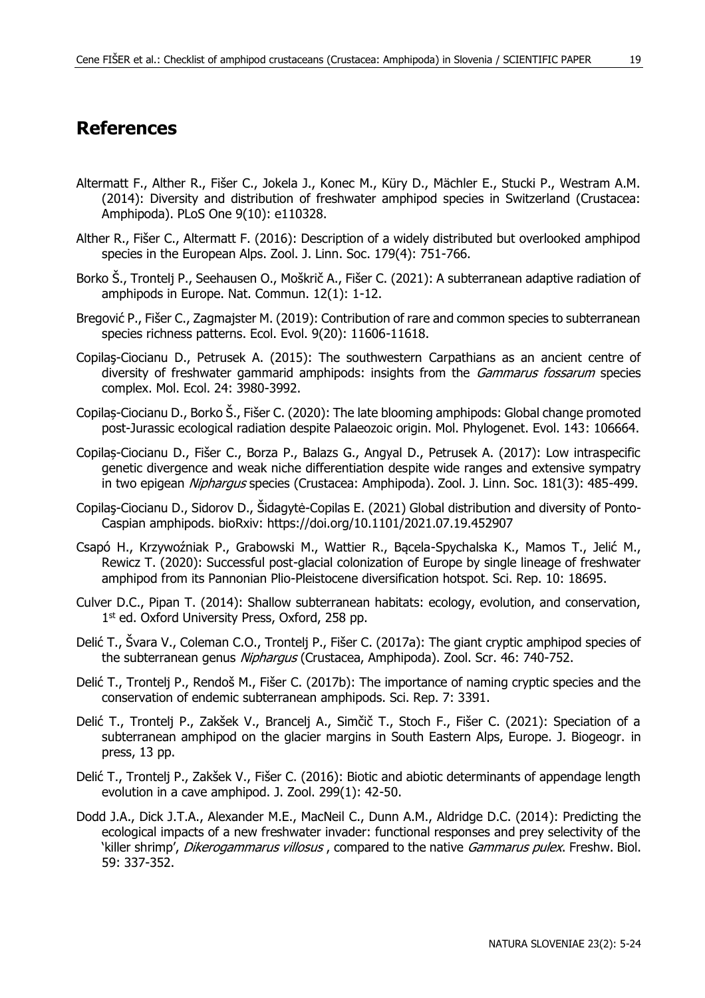#### **References**

- Altermatt F., Alther R., Fišer C., Jokela J., Konec M., Küry D., Mächler E., Stucki P., Westram A.M. (2014): Diversity and distribution of freshwater amphipod species in Switzerland (Crustacea: Amphipoda). PLoS One 9(10): e110328.
- Alther R., Fišer C., Altermatt F. (2016): Description of a widely distributed but overlooked amphipod species in the European Alps. Zool. J. Linn. Soc. 179(4): 751-766.
- Borko Š., Trontelj P., Seehausen O., Moškrič A., Fišer C. (2021): A subterranean adaptive radiation of amphipods in Europe. Nat. Commun. 12(1): 1-12.
- Bregović P., Fišer C., Zagmajster M. (2019): Contribution of rare and common species to subterranean species richness patterns. Ecol. Evol. 9(20): 11606-11618.
- Copilaş-Ciocianu D., Petrusek A. (2015): The southwestern Carpathians as an ancient centre of diversity of freshwater gammarid amphipods: insights from the *Gammarus fossarum* species complex. Mol. Ecol. 24: 3980-3992.
- Copilaș-Ciocianu D., Borko Š., Fišer C. (2020): The late blooming amphipods: Global change promoted post-Jurassic ecological radiation despite Palaeozoic origin. Mol. Phylogenet. Evol. 143: 106664.
- Copilaș-Ciocianu D., Fišer C., Borza P., Balazs G., Angyal D., Petrusek A. (2017): Low intraspecific genetic divergence and weak niche differentiation despite wide ranges and extensive sympatry in two epigean Niphargus species (Crustacea: Amphipoda). Zool. J. Linn. Soc. 181(3): 485-499.
- Copilaş-Ciocianu D., Sidorov D., Šidagytė-Copilas E. (2021) Global distribution and diversity of Ponto-Caspian amphipods. bioRxiv: https://doi.org/10.1101/2021.07.19.452907
- Csapó H., Krzywoźniak P., Grabowski M., Wattier R., Bącela-Spychalska K., Mamos T., Jelić M., Rewicz T. (2020): Successful post-glacial colonization of Europe by single lineage of freshwater amphipod from its Pannonian Plio-Pleistocene diversification hotspot. Sci. Rep. 10: 18695.
- Culver D.C., Pipan T. (2014): Shallow subterranean habitats: ecology, evolution, and conservation, 1<sup>st</sup> ed. Oxford University Press, Oxford, 258 pp.
- Delić T., Švara V., Coleman C.O., Trontelj P., Fišer C. (2017a): The giant cryptic amphipod species of the subterranean genus Niphargus (Crustacea, Amphipoda). Zool. Scr. 46: 740-752.
- Delić T., Trontelj P., Rendoš M., Fišer C. (2017b): The importance of naming cryptic species and the conservation of endemic subterranean amphipods. Sci. Rep. 7: 3391.
- Delić T., Trontelj P., Zakšek V., Brancelj A., Simčič T., Stoch F., Fišer C. (2021): Speciation of a subterranean amphipod on the glacier margins in South Eastern Alps, Europe. J. Biogeogr. in press, 13 pp.
- Delić T., Trontelj P., Zakšek V., Fišer C. (2016): Biotic and abiotic determinants of appendage length evolution in a cave amphipod. J. Zool. 299(1): 42-50.
- Dodd J.A., Dick J.T.A., Alexander M.E., MacNeil C., Dunn A.M., Aldridge D.C. (2014): Predicting the ecological impacts of a new freshwater invader: functional responses and prey selectivity of the 'killer shrimp', *Dikerogammarus villosus*, compared to the native *Gammarus pulex*. Freshw. Biol. 59: 337-352.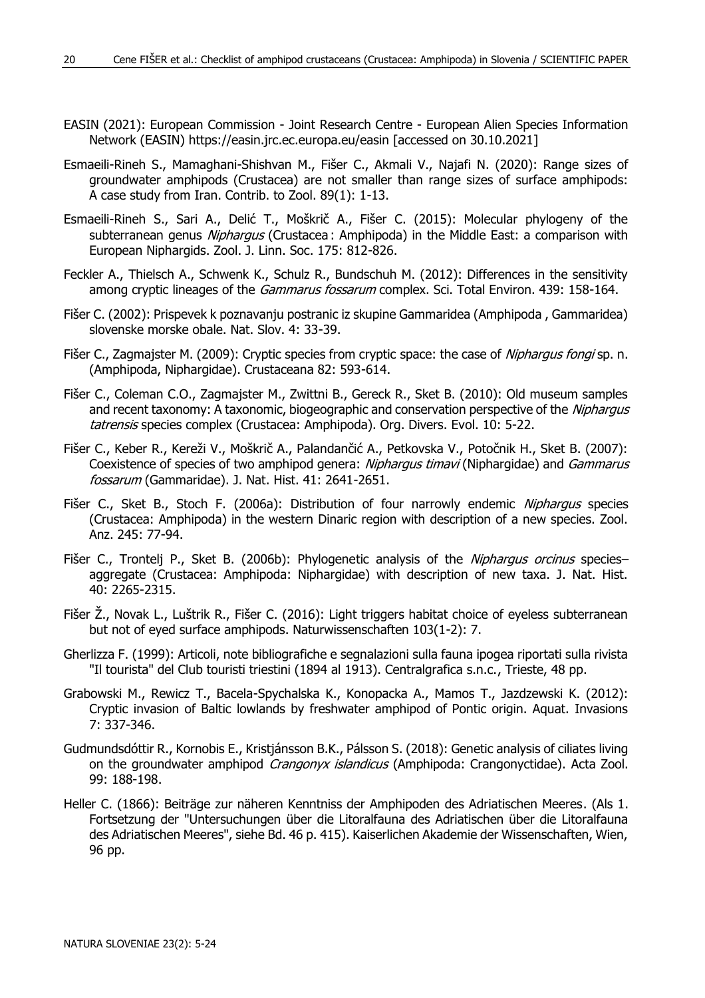- EASIN (2021): European Commission Joint Research Centre European Alien Species Information Network (EASIN) https://easin.jrc.ec.europa.eu/easin [accessed on 30.10.2021]
- Esmaeili-Rineh S., Mamaghani-Shishvan M., Fišer C., Akmali V., Najafi N. (2020): Range sizes of groundwater amphipods (Crustacea) are not smaller than range sizes of surface amphipods: A case study from Iran. Contrib. to Zool. 89(1): 1-13.
- Esmaeili-Rineh S., Sari A., Delić T., Moškrič A., Fišer C. (2015): Molecular phylogeny of the subterranean genus Niphargus (Crustacea : Amphipoda) in the Middle East: a comparison with European Niphargids. Zool. J. Linn. Soc. 175: 812-826.
- Feckler A., Thielsch A., Schwenk K., Schulz R., Bundschuh M. (2012): Differences in the sensitivity among cryptic lineages of the *Gammarus fossarum* complex. Sci. Total Environ. 439: 158-164.
- Fišer C. (2002): Prispevek k poznavanju postranic iz skupine Gammaridea (Amphipoda , Gammaridea) slovenske morske obale. Nat. Slov. 4: 33-39.
- Fišer C., Zagmajster M. (2009): Cryptic species from cryptic space: the case of Niphargus fongi sp. n. (Amphipoda, Niphargidae). Crustaceana 82: 593-614.
- Fišer C., Coleman C.O., Zagmajster M., Zwittni B., Gereck R., Sket B. (2010): Old museum samples and recent taxonomy: A taxonomic, biogeographic and conservation perspective of the Niphargus tatrensis species complex (Crustacea: Amphipoda). Org. Divers. Evol. 10: 5-22.
- Fišer C., Keber R., Kereži V., Moškrič A., Palandančić A., Petkovska V., Potočnik H., Sket B. (2007): Coexistence of species of two amphipod genera: Niphargus timavi (Niphargidae) and Gammarus fossarum (Gammaridae). J. Nat. Hist. 41: 2641-2651.
- Fišer C., Sket B., Stoch F. (2006a): Distribution of four narrowly endemic Nipharqus species (Crustacea: Amphipoda) in the western Dinaric region with description of a new species. Zool. Anz. 245: 77-94.
- Fišer C., Trontelj P., Sket B. (2006b): Phylogenetic analysis of the *Niphargus orcinus* species– aggregate (Crustacea: Amphipoda: Niphargidae) with description of new taxa. J. Nat. Hist. 40: 2265-2315.
- Fišer Ž., Novak L., Luštrik R., Fišer C. (2016): Light triggers habitat choice of eyeless subterranean but not of eyed surface amphipods. Naturwissenschaften 103(1-2): 7.
- Gherlizza F. (1999): Articoli, note bibliografiche e segnalazioni sulla fauna ipogea riportati sulla rivista "Il tourista" del Club touristi triestini (1894 al 1913). Centralgrafica s.n.c., Trieste, 48 pp.
- Grabowski M., Rewicz T., Bacela-Spychalska K., Konopacka A., Mamos T., Jazdzewski K. (2012): Cryptic invasion of Baltic lowlands by freshwater amphipod of Pontic origin. Aquat. Invasions 7: 337-346.
- Gudmundsdóttir R., Kornobis E., Kristjánsson B.K., Pálsson S. (2018): Genetic analysis of ciliates living on the groundwater amphipod *Crangonyx islandicus* (Amphipoda: Crangonyctidae). Acta Zool. 99: 188-198.
- Heller C. (1866): Beiträge zur näheren Kenntniss der Amphipoden des Adriatischen Meeres. (Als 1. Fortsetzung der "Untersuchungen über die Litoralfauna des Adriatischen über die Litoralfauna des Adriatischen Meeres", siehe Bd. 46 p. 415). Kaiserlichen Akademie der Wissenschaften, Wien, 96 pp.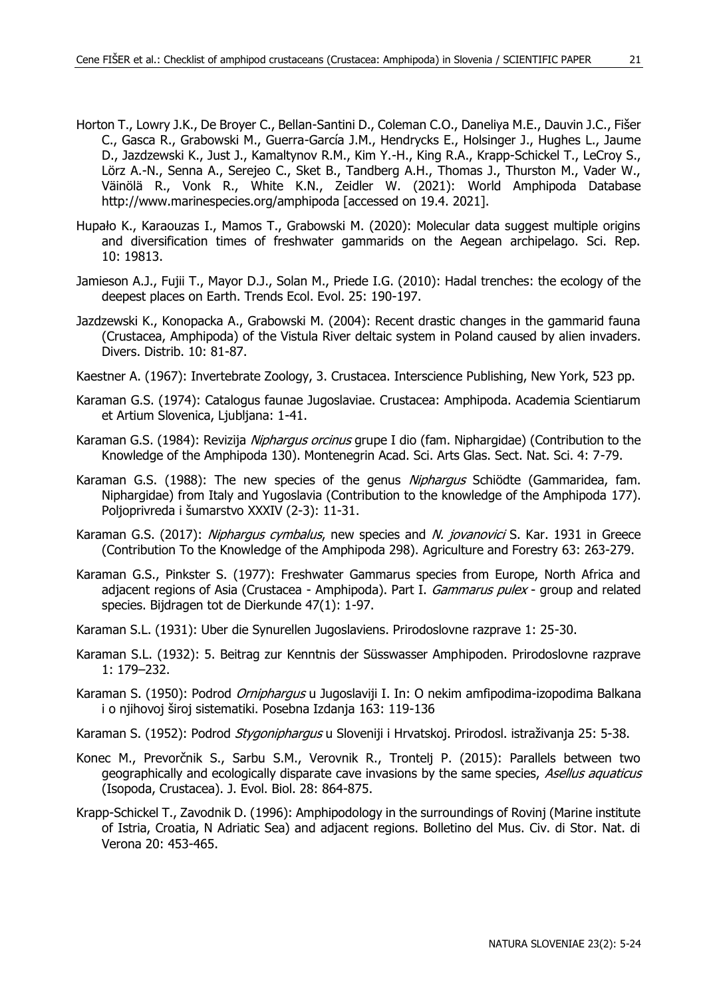- Horton T., Lowry J.K., De Broyer C., Bellan-Santini D., Coleman C.O., Daneliya M.E., Dauvin J.C., Fišer C., Gasca R., Grabowski M., Guerra-García J.M., Hendrycks E., Holsinger J., Hughes L., Jaume D., Jazdzewski K., Just J., Kamaltynov R.M., Kim Y.-H., King R.A., Krapp-Schickel T., LeCroy S., Lörz A.-N., Senna A., Serejeo C., Sket B., Tandberg A.H., Thomas J., Thurston M., Vader W., Väinölä R., Vonk R., White K.N., Zeidler W. (2021): World Amphipoda Database http://www.marinespecies.org/amphipoda [accessed on 19.4. 2021].
- Hupało K., Karaouzas I., Mamos T., Grabowski M. (2020): Molecular data suggest multiple origins and diversification times of freshwater gammarids on the Aegean archipelago. Sci. Rep. 10: 19813.
- Jamieson A.J., Fujii T., Mayor D.J., Solan M., Priede I.G. (2010): Hadal trenches: the ecology of the deepest places on Earth. Trends Ecol. Evol. 25: 190-197.
- Jazdzewski K., Konopacka A., Grabowski M. (2004): Recent drastic changes in the gammarid fauna (Crustacea, Amphipoda) of the Vistula River deltaic system in Poland caused by alien invaders. Divers. Distrib. 10: 81-87.
- Kaestner A. (1967): Invertebrate Zoology, 3. Crustacea. Interscience Publishing, New York, 523 pp.
- Karaman G.S. (1974): Catalogus faunae Jugoslaviae. Crustacea: Amphipoda. Academia Scientiarum et Artium Slovenica, Ljubljana: 1-41.
- Karaman G.S. (1984): Revizija Niphargus orcinus grupe I dio (fam. Niphargidae) (Contribution to the Knowledge of the Amphipoda 130). Montenegrin Acad. Sci. Arts Glas. Sect. Nat. Sci. 4: 7-79.
- Karaman G.S. (1988): The new species of the genus Niphargus Schiödte (Gammaridea, fam. Niphargidae) from Italy and Yugoslavia (Contribution to the knowledge of the Amphipoda 177). Poljoprivreda i šumarstvo XXXIV (2-3): 11-31.
- Karaman G.S. (2017): Nipharqus cymbalus, new species and N. jovanovici S. Kar. 1931 in Greece (Contribution To the Knowledge of the Amphipoda 298). Agriculture and Forestry 63: 263-279.
- Karaman G.S., Pinkster S. (1977): Freshwater Gammarus species from Europe, North Africa and adjacent regions of Asia (Crustacea - Amphipoda). Part I. Gammarus pulex - group and related species. Bijdragen tot de Dierkunde 47(1): 1-97.
- Karaman S.L. (1931): Uber die Synurellen Jugoslaviens. Prirodoslovne razprave 1: 25-30.
- Karaman S.L. (1932): 5. Beitrag zur Kenntnis der Süsswasser Amphipoden. Prirodoslovne razprave 1: 179–232.
- Karaman S. (1950): Podrod *Orniphargus* u Jugoslaviji I. In: O nekim amfipodima-izopodima Balkana i o njihovoj široj sistematiki. Posebna Izdanja 163: 119-136
- Karaman S. (1952): Podrod *Stygoniphargus* u Sloveniji i Hrvatskoj. Prirodosl. istraživanja 25: 5-38.
- Konec M., Prevorčnik S., Sarbu S.M., Verovnik R., Trontelj P. (2015): Parallels between two geographically and ecologically disparate cave invasions by the same species, Asellus aquaticus (Isopoda, Crustacea). J. Evol. Biol. 28: 864-875.
- Krapp-Schickel T., Zavodnik D. (1996): Amphipodology in the surroundings of Rovinj (Marine institute of Istria, Croatia, N Adriatic Sea) and adjacent regions. Bolletino del Mus. Civ. di Stor. Nat. di Verona 20: 453-465.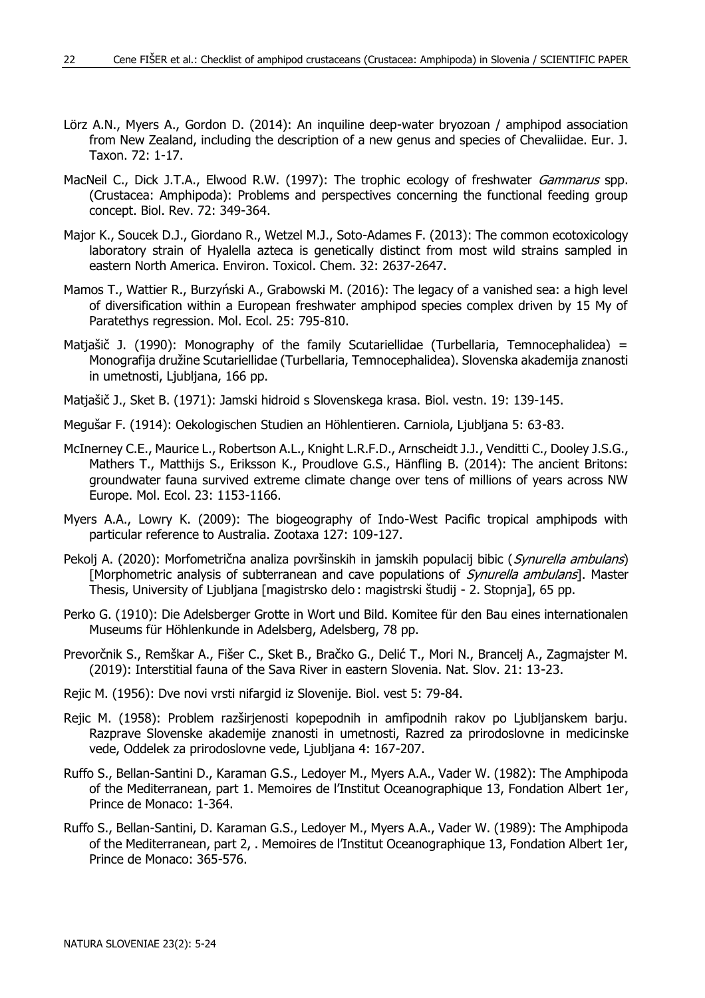- Lörz A.N., Myers A., Gordon D. (2014): An inquiline deep-water bryozoan / amphipod association from New Zealand, including the description of a new genus and species of Chevaliidae. Eur. J. Taxon. 72: 1-17.
- MacNeil C., Dick J.T.A., Elwood R.W. (1997): The trophic ecology of freshwater Gammarus spp. (Crustacea: Amphipoda): Problems and perspectives concerning the functional feeding group concept. Biol. Rev. 72: 349-364.
- Major K., Soucek D.J., Giordano R., Wetzel M.J., Soto-Adames F. (2013): The common ecotoxicology laboratory strain of Hyalella azteca is genetically distinct from most wild strains sampled in eastern North America. Environ. Toxicol. Chem. 32: 2637-2647.
- Mamos T., Wattier R., Burzyński A., Grabowski M. (2016): The legacy of a vanished sea: a high level of diversification within a European freshwater amphipod species complex driven by 15 My of Paratethys regression. Mol. Ecol. 25: 795-810.
- Matjašič J. (1990): Monography of the family Scutariellidae (Turbellaria, Temnocephalidea) = Monografija družine Scutariellidae (Turbellaria, Temnocephalidea). Slovenska akademija znanosti in umetnosti, Ljubljana, 166 pp.
- Matjašič J., Sket B. (1971): Jamski hidroid s Slovenskega krasa. Biol. vestn. 19: 139-145.
- Megušar F. (1914): Oekologischen Studien an Höhlentieren. Carniola, Ljubljana 5: 63-83.
- McInerney C.E., Maurice L., Robertson A.L., Knight L.R.F.D., Arnscheidt J.J., Venditti C., Dooley J.S.G., Mathers T., Matthijs S., Eriksson K., Proudlove G.S., Hänfling B. (2014): The ancient Britons: groundwater fauna survived extreme climate change over tens of millions of years across NW Europe. Mol. Ecol. 23: 1153-1166.
- Myers A.A., Lowry K. (2009): The biogeography of Indo-West Pacific tropical amphipods with particular reference to Australia. Zootaxa 127: 109-127.
- Pekolj A. (2020): Morfometrična analiza površinskih in jamskih populacij bibic (Synurella ambulans) [Morphometric analysis of subterranean and cave populations of *Synurella ambulans*]. Master Thesis, University of Ljubljana [magistrsko delo : magistrski študij - 2. Stopnja], 65 pp.
- Perko G. (1910): Die Adelsberger Grotte in Wort und Bild. Komitee für den Bau eines internationalen Museums für Höhlenkunde in Adelsberg, Adelsberg, 78 pp.
- Prevorčnik S., Remškar A., Fišer C., Sket B., Bračko G., Delić T., Mori N., Brancelj A., Zagmajster M. (2019): Interstitial fauna of the Sava River in eastern Slovenia. Nat. Slov. 21: 13-23.
- Rejic M. (1956): Dve novi vrsti nifargid iz Slovenije. Biol. vest 5: 79-84.
- Rejic M. (1958): Problem razširjenosti kopepodnih in amfipodnih rakov po Ljubljanskem barju. Razprave Slovenske akademije znanosti in umetnosti, Razred za prirodoslovne in medicinske vede, Oddelek za prirodoslovne vede, Ljubljana 4: 167-207.
- Ruffo S., Bellan-Santini D., Karaman G.S., Ledoyer M., Myers A.A., Vader W. (1982): The Amphipoda of the Mediterranean, part 1. Memoires de l'Institut Oceanographique 13, Fondation Albert 1er, Prince de Monaco: 1-364.
- Ruffo S., Bellan-Santini, D. Karaman G.S., Ledoyer M., Myers A.A., Vader W. (1989): The Amphipoda of the Mediterranean, part 2, . Memoires de l'Institut Oceanographique 13, Fondation Albert 1er, Prince de Monaco: 365-576.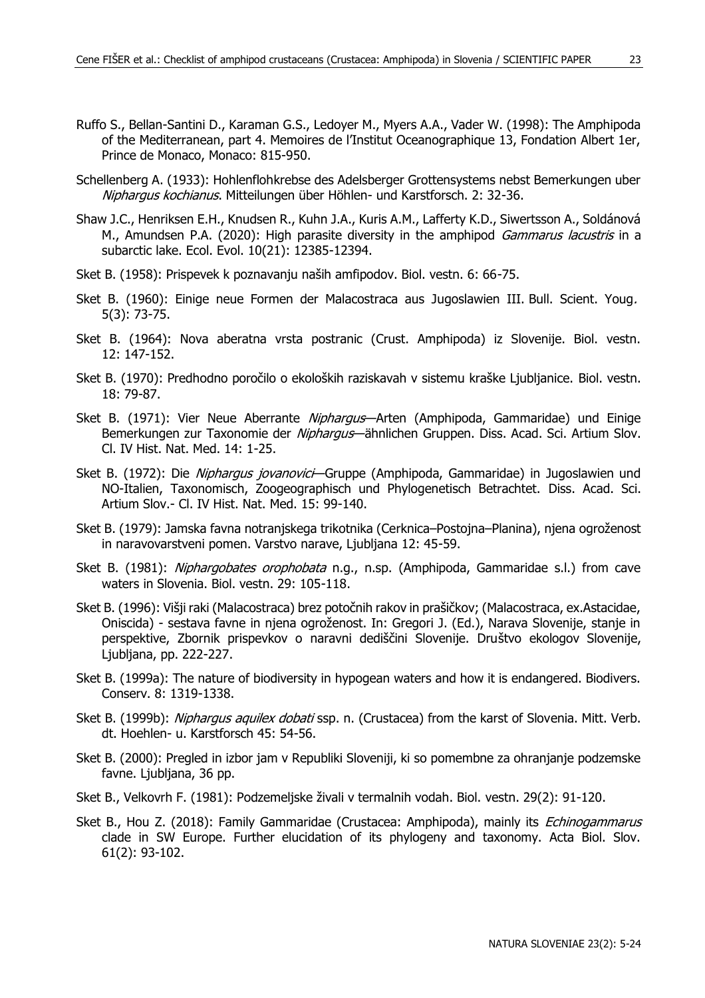- Ruffo S., Bellan-Santini D., Karaman G.S., Ledoyer M., Myers A.A., Vader W. (1998): The Amphipoda of the Mediterranean, part 4. Memoires de l'Institut Oceanographique 13, Fondation Albert 1er, Prince de Monaco, Monaco: 815-950.
- Schellenberg A. (1933): Hohlenflohkrebse des Adelsberger Grottensystems nebst Bemerkungen uber Nipharqus kochianus. Mitteilungen über Höhlen- und Karstforsch. 2: 32-36.
- Shaw J.C., Henriksen E.H., Knudsen R., Kuhn J.A., Kuris A.M., Lafferty K.D., Siwertsson A., Soldánová M., Amundsen P.A. (2020): High parasite diversity in the amphipod *Gammarus lacustris* in a subarctic lake. Ecol. Evol. 10(21): 12385-12394.
- Sket B. (1958): Prispevek k poznavanju naših amfipodov. Biol. vestn. 6: 66-75.
- Sket B. (1960): Einige neue Formen der Malacostraca aus Jugoslawien III. Bull. Scient. Youg. 5(3): 73-75.
- Sket B. (1964): Nova aberatna vrsta postranic (Crust. Amphipoda) iz Slovenije. Biol. vestn. 12: 147-152.
- Sket B. (1970): Predhodno poročilo o ekoloških raziskavah v sistemu kraške Ljubljanice. Biol. vestn. 18: 79-87.
- Sket B. (1971): Vier Neue Aberrante Niphargus—Arten (Amphipoda, Gammaridae) und Einige Bemerkungen zur Taxonomie der Niphargus-ähnlichen Gruppen. Diss. Acad. Sci. Artium Slov. Cl. IV Hist. Nat. Med. 14: 1-25.
- Sket B. (1972): Die Niphargus jovanovici-Gruppe (Amphipoda, Gammaridae) in Jugoslawien und NO-Italien, Taxonomisch, Zoogeographisch und Phylogenetisch Betrachtet. Diss. Acad. Sci. Artium Slov.- Cl. IV Hist. Nat. Med. 15: 99-140.
- Sket B. (1979): Jamska favna notranjskega trikotnika (Cerknica–Postojna–Planina), njena ogroženost in naravovarstveni pomen. Varstvo narave, Ljubljana 12: 45-59.
- Sket B. (1981): Niphargobates orophobata n.g., n.sp. (Amphipoda, Gammaridae s.l.) from cave waters in Slovenia. Biol. vestn. 29: 105-118.
- Sket B. (1996): Višji raki (Malacostraca) brez potočnih rakov in prašičkov; (Malacostraca, ex.Astacidae, Oniscida) - sestava favne in njena ogroženost. In: Gregori J. (Ed.), Narava Slovenije, stanje in perspektive, Zbornik prispevkov o naravni dediščini Slovenije. Društvo ekologov Slovenije, Ljubljana, pp. 222-227.
- Sket B. (1999a): The nature of biodiversity in hypogean waters and how it is endangered. Biodivers. Conserv. 8: 1319-1338.
- Sket B. (1999b): Niphargus aquilex dobati ssp. n. (Crustacea) from the karst of Slovenia. Mitt. Verb. dt. Hoehlen- u. Karstforsch 45: 54-56.
- Sket B. (2000): Pregled in izbor jam v Republiki Sloveniji, ki so pomembne za ohranjanje podzemske favne. Ljubljana, 36 pp.
- Sket B., Velkovrh F. (1981): Podzemeljske živali v termalnih vodah. Biol. vestn. 29(2): 91-120.
- Sket B., Hou Z. (2018): Family Gammaridae (Crustacea: Amphipoda), mainly its Echinogammarus clade in SW Europe. Further elucidation of its phylogeny and taxonomy. Acta Biol. Slov. 61(2): 93-102.